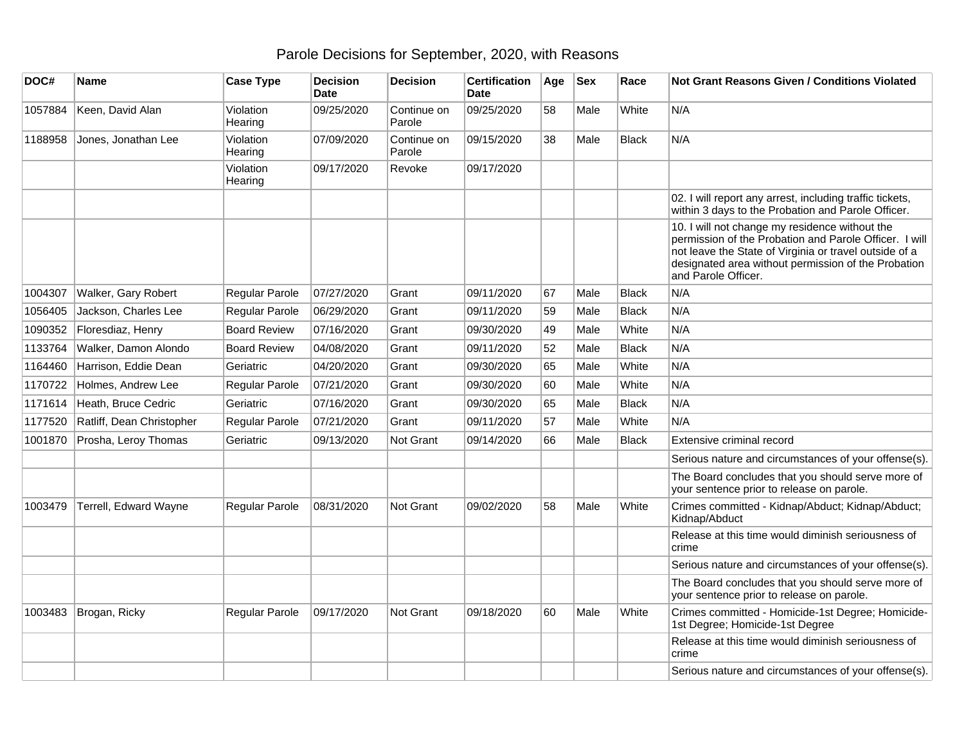## Parole Decisions for September, 2020, with Reasons

| DOC#    | Name                      | <b>Case Type</b>     | <b>Decision</b><br><b>Date</b> | <b>Decision</b>       | <b>Certification</b><br><b>Date</b> | Age | <b>Sex</b> | Race         | <b>Not Grant Reasons Given / Conditions Violated</b>                                                                                                                                                                                             |
|---------|---------------------------|----------------------|--------------------------------|-----------------------|-------------------------------------|-----|------------|--------------|--------------------------------------------------------------------------------------------------------------------------------------------------------------------------------------------------------------------------------------------------|
| 1057884 | Keen, David Alan          | Violation<br>Hearing | 09/25/2020                     | Continue on<br>Parole | 09/25/2020                          | 58  | Male       | White        | N/A                                                                                                                                                                                                                                              |
| 1188958 | Jones, Jonathan Lee       | Violation<br>Hearing | 07/09/2020                     | Continue on<br>Parole | 09/15/2020                          | 38  | Male       | <b>Black</b> | N/A                                                                                                                                                                                                                                              |
|         |                           | Violation<br>Hearing | 09/17/2020                     | Revoke                | 09/17/2020                          |     |            |              |                                                                                                                                                                                                                                                  |
|         |                           |                      |                                |                       |                                     |     |            |              | 02. I will report any arrest, including traffic tickets,<br>within 3 days to the Probation and Parole Officer.                                                                                                                                   |
|         |                           |                      |                                |                       |                                     |     |            |              | 10. I will not change my residence without the<br>permission of the Probation and Parole Officer. I will<br>not leave the State of Virginia or travel outside of a<br>designated area without permission of the Probation<br>and Parole Officer. |
| 1004307 | Walker, Gary Robert       | Regular Parole       | 07/27/2020                     | Grant                 | 09/11/2020                          | 67  | Male       | <b>Black</b> | N/A                                                                                                                                                                                                                                              |
| 1056405 | Jackson, Charles Lee      | Regular Parole       | 06/29/2020                     | Grant                 | 09/11/2020                          | 59  | Male       | <b>Black</b> | N/A                                                                                                                                                                                                                                              |
| 1090352 | Floresdiaz, Henry         | <b>Board Review</b>  | 07/16/2020                     | Grant                 | 09/30/2020                          | 49  | Male       | White        | N/A                                                                                                                                                                                                                                              |
| 1133764 | Walker, Damon Alondo      | <b>Board Review</b>  | 04/08/2020                     | Grant                 | 09/11/2020                          | 52  | Male       | <b>Black</b> | N/A                                                                                                                                                                                                                                              |
| 1164460 | Harrison, Eddie Dean      | Geriatric            | 04/20/2020                     | Grant                 | 09/30/2020                          | 65  | Male       | White        | N/A                                                                                                                                                                                                                                              |
| 1170722 | Holmes, Andrew Lee        | Regular Parole       | 07/21/2020                     | Grant                 | 09/30/2020                          | 60  | Male       | White        | N/A                                                                                                                                                                                                                                              |
| 1171614 | Heath, Bruce Cedric       | Geriatric            | 07/16/2020                     | Grant                 | 09/30/2020                          | 65  | Male       | <b>Black</b> | N/A                                                                                                                                                                                                                                              |
| 1177520 | Ratliff, Dean Christopher | Regular Parole       | 07/21/2020                     | Grant                 | 09/11/2020                          | 57  | Male       | White        | N/A                                                                                                                                                                                                                                              |
| 1001870 | Prosha, Leroy Thomas      | Geriatric            | 09/13/2020                     | Not Grant             | 09/14/2020                          | 66  | Male       | <b>Black</b> | Extensive criminal record                                                                                                                                                                                                                        |
|         |                           |                      |                                |                       |                                     |     |            |              | Serious nature and circumstances of your offense(s).                                                                                                                                                                                             |
|         |                           |                      |                                |                       |                                     |     |            |              | The Board concludes that you should serve more of<br>your sentence prior to release on parole.                                                                                                                                                   |
| 1003479 | Terrell, Edward Wayne     | Regular Parole       | 08/31/2020                     | Not Grant             | 09/02/2020                          | 58  | Male       | White        | Crimes committed - Kidnap/Abduct; Kidnap/Abduct;<br>Kidnap/Abduct                                                                                                                                                                                |
|         |                           |                      |                                |                       |                                     |     |            |              | Release at this time would diminish seriousness of<br>crime                                                                                                                                                                                      |
|         |                           |                      |                                |                       |                                     |     |            |              | Serious nature and circumstances of your offense(s).                                                                                                                                                                                             |
|         |                           |                      |                                |                       |                                     |     |            |              | The Board concludes that you should serve more of<br>your sentence prior to release on parole.                                                                                                                                                   |
| 1003483 | Brogan, Ricky             | Regular Parole       | 09/17/2020                     | Not Grant             | 09/18/2020                          | 60  | Male       | White        | Crimes committed - Homicide-1st Degree; Homicide-<br>1st Degree; Homicide-1st Degree                                                                                                                                                             |
|         |                           |                      |                                |                       |                                     |     |            |              | Release at this time would diminish seriousness of<br>crime                                                                                                                                                                                      |
|         |                           |                      |                                |                       |                                     |     |            |              | Serious nature and circumstances of your offense(s).                                                                                                                                                                                             |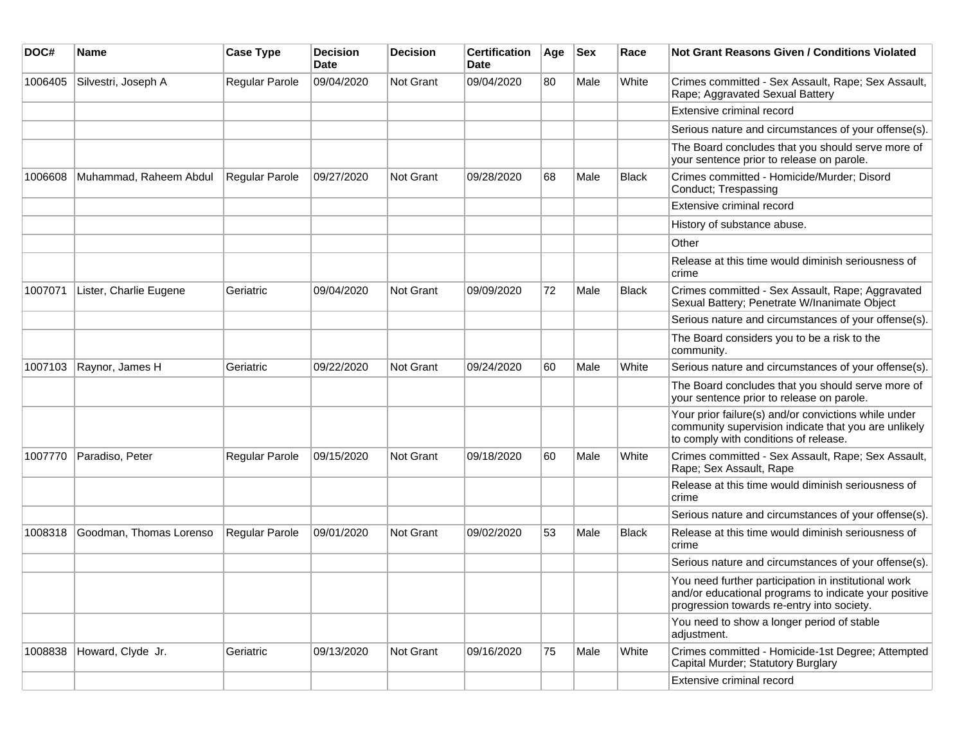| DOC#    | Name                    | <b>Case Type</b> | <b>Decision</b><br><b>Date</b> | <b>Decision</b> | <b>Certification</b><br>Date | Age | <b>Sex</b> | Race         | <b>Not Grant Reasons Given / Conditions Violated</b>                                                                                                        |
|---------|-------------------------|------------------|--------------------------------|-----------------|------------------------------|-----|------------|--------------|-------------------------------------------------------------------------------------------------------------------------------------------------------------|
| 1006405 | Silvestri, Joseph A     | Regular Parole   | 09/04/2020                     | Not Grant       | 09/04/2020                   | 80  | Male       | White        | Crimes committed - Sex Assault, Rape; Sex Assault,<br>Rape; Aggravated Sexual Battery                                                                       |
|         |                         |                  |                                |                 |                              |     |            |              | Extensive criminal record                                                                                                                                   |
|         |                         |                  |                                |                 |                              |     |            |              | Serious nature and circumstances of your offense(s).                                                                                                        |
|         |                         |                  |                                |                 |                              |     |            |              | The Board concludes that you should serve more of<br>your sentence prior to release on parole.                                                              |
| 1006608 | Muhammad, Raheem Abdul  | Regular Parole   | 09/27/2020                     | Not Grant       | 09/28/2020                   | 68  | Male       | <b>Black</b> | Crimes committed - Homicide/Murder; Disord<br>Conduct; Trespassing                                                                                          |
|         |                         |                  |                                |                 |                              |     |            |              | Extensive criminal record                                                                                                                                   |
|         |                         |                  |                                |                 |                              |     |            |              | History of substance abuse.                                                                                                                                 |
|         |                         |                  |                                |                 |                              |     |            |              | Other                                                                                                                                                       |
|         |                         |                  |                                |                 |                              |     |            |              | Release at this time would diminish seriousness of<br>crime                                                                                                 |
| 1007071 | Lister, Charlie Eugene  | Geriatric        | 09/04/2020                     | Not Grant       | 09/09/2020                   | 72  | Male       | Black        | Crimes committed - Sex Assault, Rape; Aggravated<br>Sexual Battery; Penetrate W/Inanimate Object                                                            |
|         |                         |                  |                                |                 |                              |     |            |              | Serious nature and circumstances of your offense(s).                                                                                                        |
|         |                         |                  |                                |                 |                              |     |            |              | The Board considers you to be a risk to the<br>community.                                                                                                   |
| 1007103 | Raynor, James H         | Geriatric        | 09/22/2020                     | Not Grant       | 09/24/2020                   | 60  | Male       | White        | Serious nature and circumstances of your offense(s).                                                                                                        |
|         |                         |                  |                                |                 |                              |     |            |              | The Board concludes that you should serve more of<br>your sentence prior to release on parole.                                                              |
|         |                         |                  |                                |                 |                              |     |            |              | Your prior failure(s) and/or convictions while under<br>community supervision indicate that you are unlikely<br>to comply with conditions of release.       |
| 1007770 | Paradiso, Peter         | Regular Parole   | 09/15/2020                     | Not Grant       | 09/18/2020                   | 60  | Male       | White        | Crimes committed - Sex Assault, Rape; Sex Assault,<br>Rape; Sex Assault, Rape                                                                               |
|         |                         |                  |                                |                 |                              |     |            |              | Release at this time would diminish seriousness of<br>crime                                                                                                 |
|         |                         |                  |                                |                 |                              |     |            |              | Serious nature and circumstances of your offense(s).                                                                                                        |
| 1008318 | Goodman, Thomas Lorenso | Regular Parole   | 09/01/2020                     | Not Grant       | 09/02/2020                   | 53  | Male       | <b>Black</b> | Release at this time would diminish seriousness of<br>crime                                                                                                 |
|         |                         |                  |                                |                 |                              |     |            |              | Serious nature and circumstances of your offense(s).                                                                                                        |
|         |                         |                  |                                |                 |                              |     |            |              | You need further participation in institutional work<br>and/or educational programs to indicate your positive<br>progression towards re-entry into society. |
|         |                         |                  |                                |                 |                              |     |            |              | You need to show a longer period of stable<br>adjustment.                                                                                                   |
| 1008838 | Howard, Clyde Jr.       | Geriatric        | 09/13/2020                     | Not Grant       | 09/16/2020                   | 75  | Male       | White        | Crimes committed - Homicide-1st Degree; Attempted<br>Capital Murder; Statutory Burglary                                                                     |
|         |                         |                  |                                |                 |                              |     |            |              | Extensive criminal record                                                                                                                                   |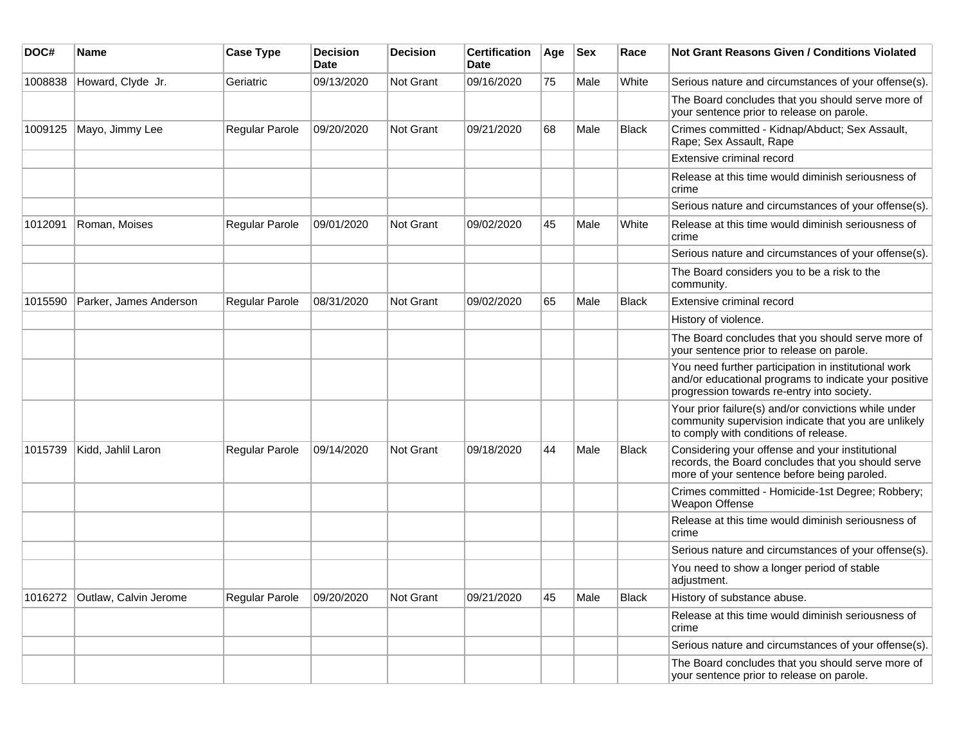| DOC#    | Name                   | <b>Case Type</b> | <b>Decision</b><br><b>Date</b> | <b>Decision</b>  | <b>Certification</b><br>Date | Age | <b>Sex</b> | Race         | Not Grant Reasons Given / Conditions Violated                                                                                                               |
|---------|------------------------|------------------|--------------------------------|------------------|------------------------------|-----|------------|--------------|-------------------------------------------------------------------------------------------------------------------------------------------------------------|
| 1008838 | Howard, Clyde Jr.      | Geriatric        | 09/13/2020                     | Not Grant        | 09/16/2020                   | 75  | Male       | White        | Serious nature and circumstances of your offense(s).                                                                                                        |
|         |                        |                  |                                |                  |                              |     |            |              | The Board concludes that you should serve more of<br>your sentence prior to release on parole.                                                              |
| 1009125 | Mayo, Jimmy Lee        | Regular Parole   | 09/20/2020                     | Not Grant        | 09/21/2020                   | 68  | Male       | <b>Black</b> | Crimes committed - Kidnap/Abduct; Sex Assault,<br>Rape; Sex Assault, Rape                                                                                   |
|         |                        |                  |                                |                  |                              |     |            |              | Extensive criminal record                                                                                                                                   |
|         |                        |                  |                                |                  |                              |     |            |              | Release at this time would diminish seriousness of<br>crime                                                                                                 |
|         |                        |                  |                                |                  |                              |     |            |              | Serious nature and circumstances of your offense(s).                                                                                                        |
| 1012091 | Roman, Moises          | Regular Parole   | 09/01/2020                     | Not Grant        | 09/02/2020                   | 45  | Male       | White        | Release at this time would diminish seriousness of<br>crime                                                                                                 |
|         |                        |                  |                                |                  |                              |     |            |              | Serious nature and circumstances of your offense(s).                                                                                                        |
|         |                        |                  |                                |                  |                              |     |            |              | The Board considers you to be a risk to the<br>community.                                                                                                   |
| 1015590 | Parker, James Anderson | Regular Parole   | 08/31/2020                     | <b>Not Grant</b> | 09/02/2020                   | 65  | Male       | <b>Black</b> | Extensive criminal record                                                                                                                                   |
|         |                        |                  |                                |                  |                              |     |            |              | History of violence.                                                                                                                                        |
|         |                        |                  |                                |                  |                              |     |            |              | The Board concludes that you should serve more of<br>your sentence prior to release on parole.                                                              |
|         |                        |                  |                                |                  |                              |     |            |              | You need further participation in institutional work<br>and/or educational programs to indicate your positive<br>progression towards re-entry into society. |
|         |                        |                  |                                |                  |                              |     |            |              | Your prior failure(s) and/or convictions while under<br>community supervision indicate that you are unlikely<br>to comply with conditions of release.       |
| 1015739 | Kidd, Jahlil Laron     | Regular Parole   | 09/14/2020                     | <b>Not Grant</b> | 09/18/2020                   | 44  | Male       | <b>Black</b> | Considering your offense and your institutional<br>records, the Board concludes that you should serve<br>more of your sentence before being paroled.        |
|         |                        |                  |                                |                  |                              |     |            |              | Crimes committed - Homicide-1st Degree; Robbery;<br>Weapon Offense                                                                                          |
|         |                        |                  |                                |                  |                              |     |            |              | Release at this time would diminish seriousness of<br>crime                                                                                                 |
|         |                        |                  |                                |                  |                              |     |            |              | Serious nature and circumstances of your offense(s).                                                                                                        |
|         |                        |                  |                                |                  |                              |     |            |              | You need to show a longer period of stable<br>adjustment.                                                                                                   |
| 1016272 | Outlaw, Calvin Jerome  | Regular Parole   | 09/20/2020                     | Not Grant        | 09/21/2020                   | 45  | Male       | <b>Black</b> | History of substance abuse.                                                                                                                                 |
|         |                        |                  |                                |                  |                              |     |            |              | Release at this time would diminish seriousness of<br>crime                                                                                                 |
|         |                        |                  |                                |                  |                              |     |            |              | Serious nature and circumstances of your offense(s).                                                                                                        |
|         |                        |                  |                                |                  |                              |     |            |              | The Board concludes that you should serve more of<br>your sentence prior to release on parole.                                                              |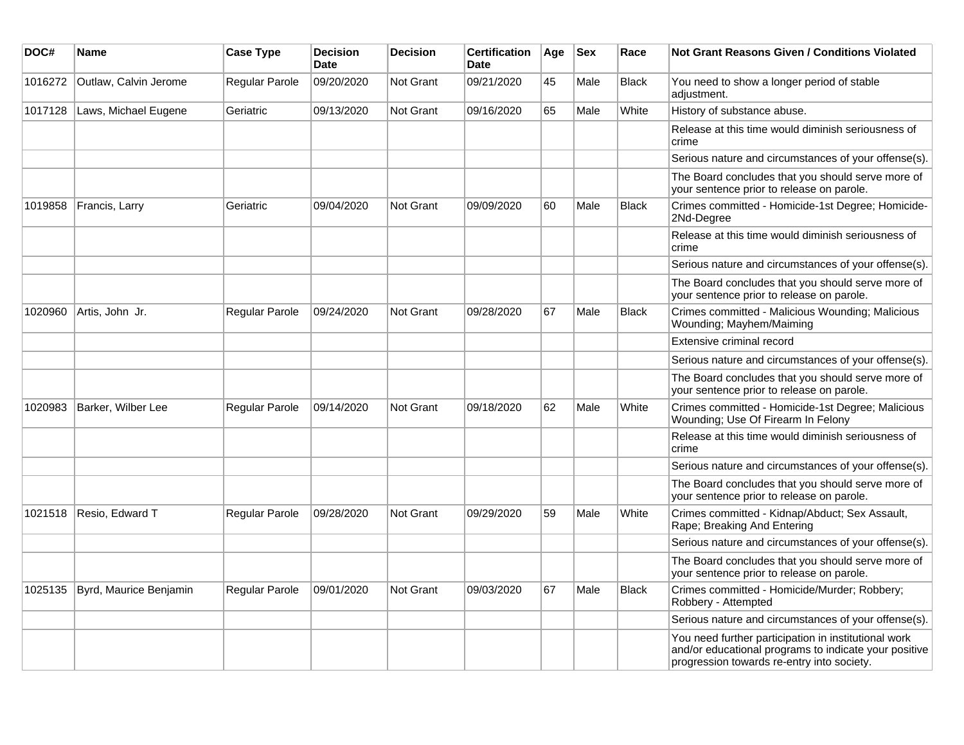| DOC#    | Name                   | <b>Case Type</b>      | <b>Decision</b><br><b>Date</b> | <b>Decision</b>  | <b>Certification</b><br>Date | Age | <b>Sex</b> | Race         | Not Grant Reasons Given / Conditions Violated                                                                                                               |
|---------|------------------------|-----------------------|--------------------------------|------------------|------------------------------|-----|------------|--------------|-------------------------------------------------------------------------------------------------------------------------------------------------------------|
| 1016272 | Outlaw, Calvin Jerome  | Regular Parole        | 09/20/2020                     | <b>Not Grant</b> | 09/21/2020                   | 45  | Male       | Black        | You need to show a longer period of stable<br>adjustment.                                                                                                   |
| 1017128 | Laws, Michael Eugene   | Geriatric             | 09/13/2020                     | <b>Not Grant</b> | 09/16/2020                   | 65  | Male       | White        | History of substance abuse.                                                                                                                                 |
|         |                        |                       |                                |                  |                              |     |            |              | Release at this time would diminish seriousness of<br>crime                                                                                                 |
|         |                        |                       |                                |                  |                              |     |            |              | Serious nature and circumstances of your offense(s).                                                                                                        |
|         |                        |                       |                                |                  |                              |     |            |              | The Board concludes that you should serve more of<br>your sentence prior to release on parole.                                                              |
| 1019858 | Francis, Larry         | Geriatric             | 09/04/2020                     | <b>Not Grant</b> | 09/09/2020                   | 60  | Male       | <b>Black</b> | Crimes committed - Homicide-1st Degree; Homicide-<br>2Nd-Degree                                                                                             |
|         |                        |                       |                                |                  |                              |     |            |              | Release at this time would diminish seriousness of<br>crime                                                                                                 |
|         |                        |                       |                                |                  |                              |     |            |              | Serious nature and circumstances of your offense(s).                                                                                                        |
|         |                        |                       |                                |                  |                              |     |            |              | The Board concludes that you should serve more of<br>your sentence prior to release on parole.                                                              |
| 1020960 | Artis, John Jr.        | Regular Parole        | 09/24/2020                     | <b>Not Grant</b> | 09/28/2020                   | 67  | Male       | <b>Black</b> | Crimes committed - Malicious Wounding; Malicious<br>Wounding; Mayhem/Maiming                                                                                |
|         |                        |                       |                                |                  |                              |     |            |              | Extensive criminal record                                                                                                                                   |
|         |                        |                       |                                |                  |                              |     |            |              | Serious nature and circumstances of your offense(s).                                                                                                        |
|         |                        |                       |                                |                  |                              |     |            |              | The Board concludes that you should serve more of<br>your sentence prior to release on parole.                                                              |
| 1020983 | Barker, Wilber Lee     | Regular Parole        | 09/14/2020                     | <b>Not Grant</b> | 09/18/2020                   | 62  | Male       | White        | Crimes committed - Homicide-1st Degree; Malicious<br>Wounding; Use Of Firearm In Felony                                                                     |
|         |                        |                       |                                |                  |                              |     |            |              | Release at this time would diminish seriousness of<br>crime                                                                                                 |
|         |                        |                       |                                |                  |                              |     |            |              | Serious nature and circumstances of your offense(s).                                                                                                        |
|         |                        |                       |                                |                  |                              |     |            |              | The Board concludes that you should serve more of<br>your sentence prior to release on parole.                                                              |
| 1021518 | Resio, Edward T        | Regular Parole        | 09/28/2020                     | <b>Not Grant</b> | 09/29/2020                   | 59  | Male       | White        | Crimes committed - Kidnap/Abduct; Sex Assault,<br>Rape; Breaking And Entering                                                                               |
|         |                        |                       |                                |                  |                              |     |            |              | Serious nature and circumstances of your offense(s).                                                                                                        |
|         |                        |                       |                                |                  |                              |     |            |              | The Board concludes that you should serve more of<br>your sentence prior to release on parole.                                                              |
| 1025135 | Byrd, Maurice Benjamin | <b>Regular Parole</b> | 09/01/2020                     | <b>Not Grant</b> | 09/03/2020                   | 67  | Male       | <b>Black</b> | Crimes committed - Homicide/Murder; Robbery;<br>Robbery - Attempted                                                                                         |
|         |                        |                       |                                |                  |                              |     |            |              | Serious nature and circumstances of your offense(s).                                                                                                        |
|         |                        |                       |                                |                  |                              |     |            |              | You need further participation in institutional work<br>and/or educational programs to indicate your positive<br>progression towards re-entry into society. |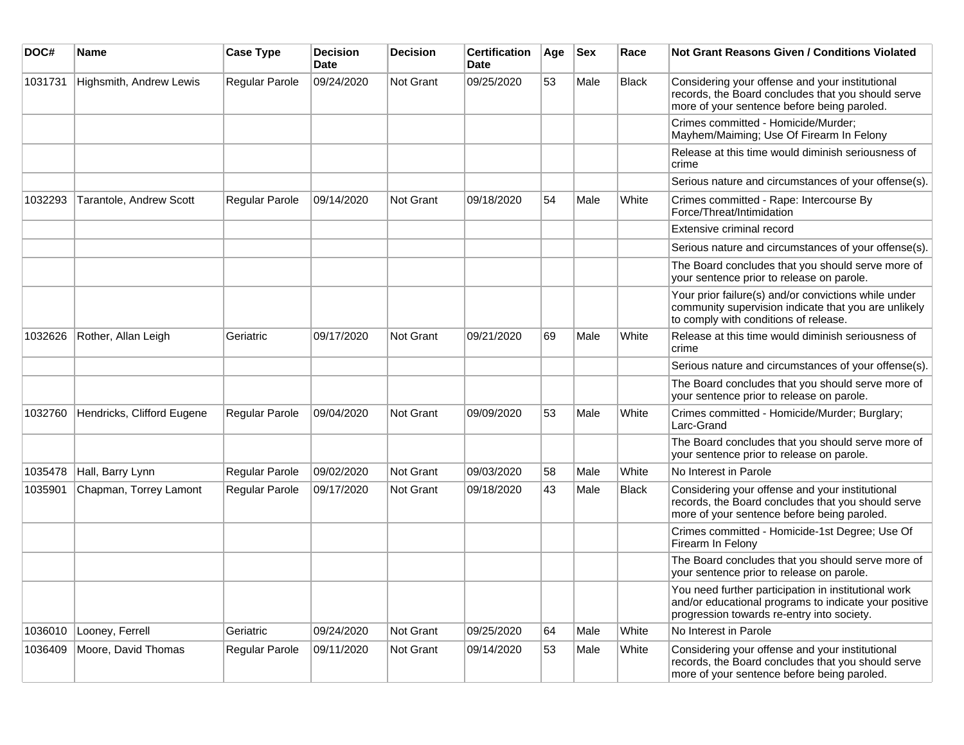| DOC#    | <b>Name</b>                | <b>Case Type</b>      | <b>Decision</b><br><b>Date</b> | <b>Decision</b>  | <b>Certification</b><br><b>Date</b> | Age | <b>Sex</b> | Race         | Not Grant Reasons Given / Conditions Violated                                                                                                               |
|---------|----------------------------|-----------------------|--------------------------------|------------------|-------------------------------------|-----|------------|--------------|-------------------------------------------------------------------------------------------------------------------------------------------------------------|
| 1031731 | Highsmith, Andrew Lewis    | Regular Parole        | 09/24/2020                     | Not Grant        | 09/25/2020                          | 53  | Male       | <b>Black</b> | Considering your offense and your institutional<br>records, the Board concludes that you should serve<br>more of your sentence before being paroled.        |
|         |                            |                       |                                |                  |                                     |     |            |              | Crimes committed - Homicide/Murder;<br>Mayhem/Maiming; Use Of Firearm In Felony                                                                             |
|         |                            |                       |                                |                  |                                     |     |            |              | Release at this time would diminish seriousness of<br>crime                                                                                                 |
|         |                            |                       |                                |                  |                                     |     |            |              | Serious nature and circumstances of your offense(s).                                                                                                        |
| 1032293 | Tarantole, Andrew Scott    | <b>Regular Parole</b> | 09/14/2020                     | Not Grant        | 09/18/2020                          | 54  | Male       | White        | Crimes committed - Rape: Intercourse By<br>Force/Threat/Intimidation                                                                                        |
|         |                            |                       |                                |                  |                                     |     |            |              | Extensive criminal record                                                                                                                                   |
|         |                            |                       |                                |                  |                                     |     |            |              | Serious nature and circumstances of your offense(s).                                                                                                        |
|         |                            |                       |                                |                  |                                     |     |            |              | The Board concludes that you should serve more of<br>your sentence prior to release on parole.                                                              |
|         |                            |                       |                                |                  |                                     |     |            |              | Your prior failure(s) and/or convictions while under<br>community supervision indicate that you are unlikely<br>to comply with conditions of release.       |
| 1032626 | Rother, Allan Leigh        | Geriatric             | 09/17/2020                     | Not Grant        | 09/21/2020                          | 69  | Male       | White        | Release at this time would diminish seriousness of<br>crime                                                                                                 |
|         |                            |                       |                                |                  |                                     |     |            |              | Serious nature and circumstances of your offense(s).                                                                                                        |
|         |                            |                       |                                |                  |                                     |     |            |              | The Board concludes that you should serve more of<br>your sentence prior to release on parole.                                                              |
| 1032760 | Hendricks, Clifford Eugene | Regular Parole        | 09/04/2020                     | Not Grant        | 09/09/2020                          | 53  | Male       | White        | Crimes committed - Homicide/Murder; Burglary;<br>Larc-Grand                                                                                                 |
|         |                            |                       |                                |                  |                                     |     |            |              | The Board concludes that you should serve more of<br>your sentence prior to release on parole.                                                              |
| 1035478 | Hall, Barry Lynn           | <b>Regular Parole</b> | 09/02/2020                     | Not Grant        | 09/03/2020                          | 58  | Male       | White        | No Interest in Parole                                                                                                                                       |
| 1035901 | Chapman, Torrey Lamont     | Regular Parole        | 09/17/2020                     | <b>Not Grant</b> | 09/18/2020                          | 43  | Male       | <b>Black</b> | Considering your offense and your institutional<br>records, the Board concludes that you should serve<br>more of your sentence before being paroled.        |
|         |                            |                       |                                |                  |                                     |     |            |              | Crimes committed - Homicide-1st Degree; Use Of<br>Firearm In Felony                                                                                         |
|         |                            |                       |                                |                  |                                     |     |            |              | The Board concludes that you should serve more of<br>your sentence prior to release on parole.                                                              |
|         |                            |                       |                                |                  |                                     |     |            |              | You need further participation in institutional work<br>and/or educational programs to indicate your positive<br>progression towards re-entry into society. |
| 1036010 | Looney, Ferrell            | Geriatric             | 09/24/2020                     | Not Grant        | 09/25/2020                          | 64  | Male       | White        | No Interest in Parole                                                                                                                                       |
| 1036409 | Moore, David Thomas        | Regular Parole        | 09/11/2020                     | Not Grant        | 09/14/2020                          | 53  | Male       | White        | Considering your offense and your institutional<br>records, the Board concludes that you should serve<br>more of your sentence before being paroled.        |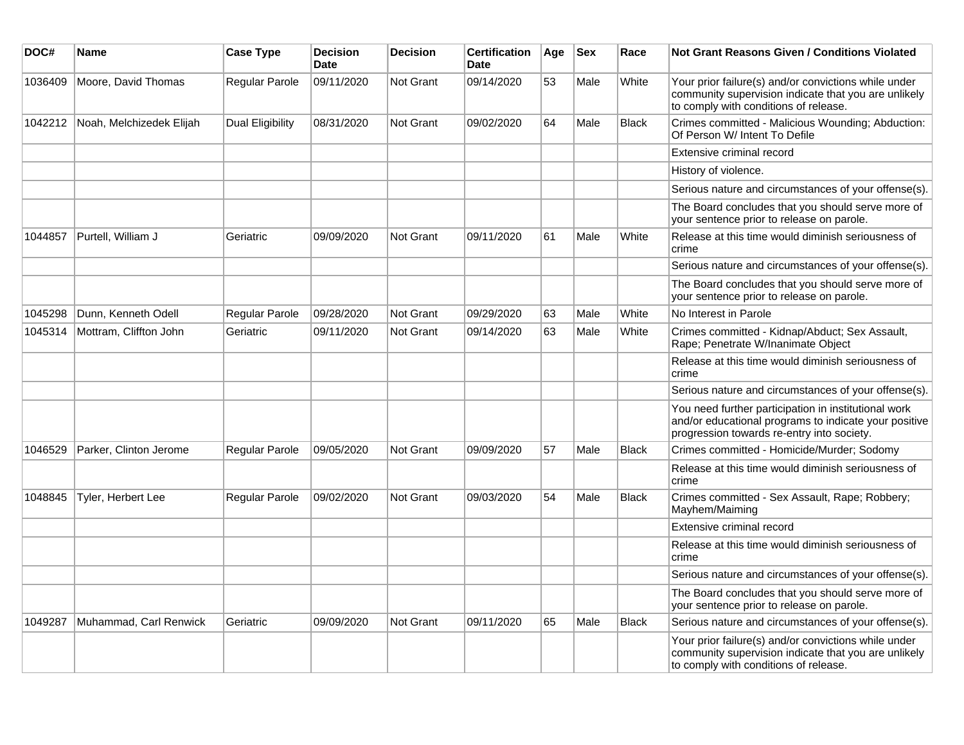| DOC#    | Name                     | <b>Case Type</b> | <b>Decision</b><br><b>Date</b> | <b>Decision</b>  | <b>Certification</b><br><b>Date</b> | Age | <b>Sex</b> | Race         | Not Grant Reasons Given / Conditions Violated                                                                                                               |
|---------|--------------------------|------------------|--------------------------------|------------------|-------------------------------------|-----|------------|--------------|-------------------------------------------------------------------------------------------------------------------------------------------------------------|
| 1036409 | Moore, David Thomas      | Regular Parole   | 09/11/2020                     | Not Grant        | 09/14/2020                          | 53  | Male       | White        | Your prior failure(s) and/or convictions while under<br>community supervision indicate that you are unlikely<br>to comply with conditions of release.       |
| 1042212 | Noah, Melchizedek Elijah | Dual Eligibility | 08/31/2020                     | Not Grant        | 09/02/2020                          | 64  | Male       | <b>Black</b> | Crimes committed - Malicious Wounding; Abduction:<br>Of Person W/ Intent To Defile                                                                          |
|         |                          |                  |                                |                  |                                     |     |            |              | Extensive criminal record                                                                                                                                   |
|         |                          |                  |                                |                  |                                     |     |            |              | History of violence.                                                                                                                                        |
|         |                          |                  |                                |                  |                                     |     |            |              | Serious nature and circumstances of your offense(s).                                                                                                        |
|         |                          |                  |                                |                  |                                     |     |            |              | The Board concludes that you should serve more of<br>your sentence prior to release on parole.                                                              |
| 1044857 | Purtell, William J       | Geriatric        | 09/09/2020                     | Not Grant        | 09/11/2020                          | 61  | Male       | White        | Release at this time would diminish seriousness of<br>crime                                                                                                 |
|         |                          |                  |                                |                  |                                     |     |            |              | Serious nature and circumstances of your offense(s).                                                                                                        |
|         |                          |                  |                                |                  |                                     |     |            |              | The Board concludes that you should serve more of<br>your sentence prior to release on parole.                                                              |
| 1045298 | Dunn, Kenneth Odell      | Regular Parole   | 09/28/2020                     | <b>Not Grant</b> | 09/29/2020                          | 63  | Male       | White        | No Interest in Parole                                                                                                                                       |
| 1045314 | Mottram, Cliffton John   | Geriatric        | 09/11/2020                     | <b>Not Grant</b> | 09/14/2020                          | 63  | Male       | White        | Crimes committed - Kidnap/Abduct; Sex Assault,<br>Rape; Penetrate W/Inanimate Object                                                                        |
|         |                          |                  |                                |                  |                                     |     |            |              | Release at this time would diminish seriousness of<br>crime                                                                                                 |
|         |                          |                  |                                |                  |                                     |     |            |              | Serious nature and circumstances of your offense(s).                                                                                                        |
|         |                          |                  |                                |                  |                                     |     |            |              | You need further participation in institutional work<br>and/or educational programs to indicate your positive<br>progression towards re-entry into society. |
| 1046529 | Parker, Clinton Jerome   | Regular Parole   | 09/05/2020                     | <b>Not Grant</b> | 09/09/2020                          | 57  | Male       | <b>Black</b> | Crimes committed - Homicide/Murder; Sodomy                                                                                                                  |
|         |                          |                  |                                |                  |                                     |     |            |              | Release at this time would diminish seriousness of<br>crime                                                                                                 |
| 1048845 | Tyler, Herbert Lee       | Regular Parole   | 09/02/2020                     | Not Grant        | 09/03/2020                          | 54  | Male       | <b>Black</b> | Crimes committed - Sex Assault, Rape; Robbery;<br>Mayhem/Maiming                                                                                            |
|         |                          |                  |                                |                  |                                     |     |            |              | Extensive criminal record                                                                                                                                   |
|         |                          |                  |                                |                  |                                     |     |            |              | Release at this time would diminish seriousness of<br>crime                                                                                                 |
|         |                          |                  |                                |                  |                                     |     |            |              | Serious nature and circumstances of your offense(s).                                                                                                        |
|         |                          |                  |                                |                  |                                     |     |            |              | The Board concludes that you should serve more of<br>your sentence prior to release on parole.                                                              |
| 1049287 | Muhammad, Carl Renwick   | Geriatric        | 09/09/2020                     | Not Grant        | 09/11/2020                          | 65  | Male       | <b>Black</b> | Serious nature and circumstances of your offense(s).                                                                                                        |
|         |                          |                  |                                |                  |                                     |     |            |              | Your prior failure(s) and/or convictions while under<br>community supervision indicate that you are unlikely<br>to comply with conditions of release.       |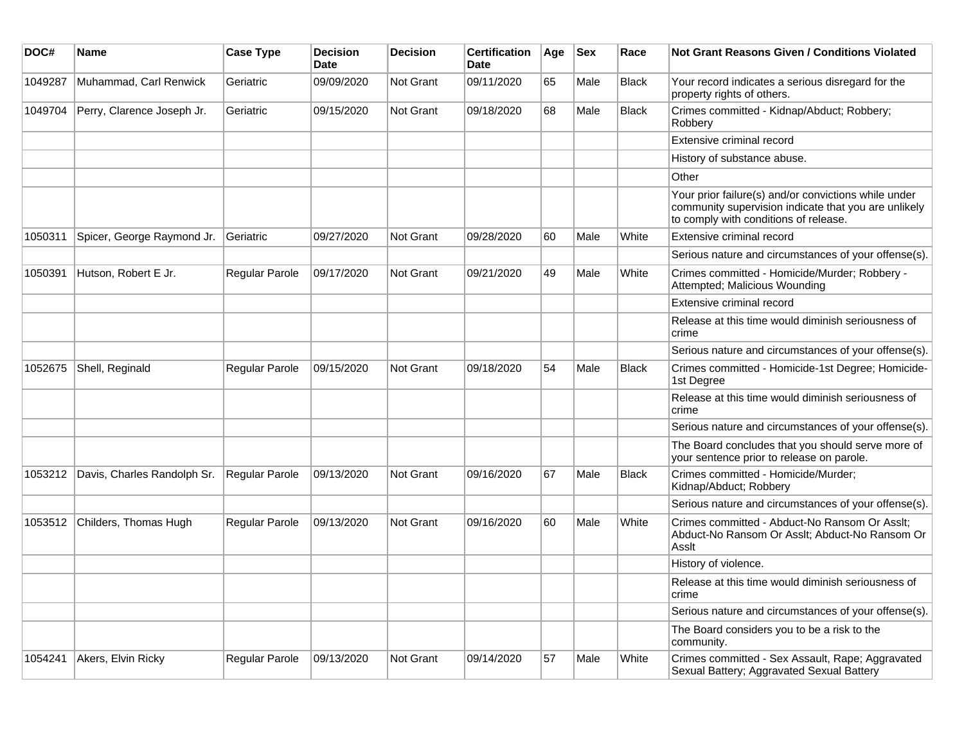| DOC#    | Name                        | <b>Case Type</b>      | <b>Decision</b><br><b>Date</b> | <b>Decision</b>  | <b>Certification</b><br><b>Date</b> | Age | <b>Sex</b> | Race         | <b>Not Grant Reasons Given / Conditions Violated</b>                                                                                                  |
|---------|-----------------------------|-----------------------|--------------------------------|------------------|-------------------------------------|-----|------------|--------------|-------------------------------------------------------------------------------------------------------------------------------------------------------|
| 1049287 | Muhammad, Carl Renwick      | Geriatric             | 09/09/2020                     | Not Grant        | 09/11/2020                          | 65  | Male       | <b>Black</b> | Your record indicates a serious disregard for the<br>property rights of others.                                                                       |
| 1049704 | Perry, Clarence Joseph Jr.  | Geriatric             | 09/15/2020                     | Not Grant        | 09/18/2020                          | 68  | Male       | <b>Black</b> | Crimes committed - Kidnap/Abduct; Robbery;<br>Robbery                                                                                                 |
|         |                             |                       |                                |                  |                                     |     |            |              | Extensive criminal record                                                                                                                             |
|         |                             |                       |                                |                  |                                     |     |            |              | History of substance abuse.                                                                                                                           |
|         |                             |                       |                                |                  |                                     |     |            |              | Other                                                                                                                                                 |
|         |                             |                       |                                |                  |                                     |     |            |              | Your prior failure(s) and/or convictions while under<br>community supervision indicate that you are unlikely<br>to comply with conditions of release. |
| 1050311 | Spicer, George Raymond Jr.  | Geriatric             | 09/27/2020                     | <b>Not Grant</b> | 09/28/2020                          | 60  | Male       | White        | Extensive criminal record                                                                                                                             |
|         |                             |                       |                                |                  |                                     |     |            |              | Serious nature and circumstances of your offense(s).                                                                                                  |
| 1050391 | Hutson, Robert E Jr.        | Regular Parole        | 09/17/2020                     | Not Grant        | 09/21/2020                          | 49  | Male       | White        | Crimes committed - Homicide/Murder; Robbery -<br>Attempted; Malicious Wounding                                                                        |
|         |                             |                       |                                |                  |                                     |     |            |              | Extensive criminal record                                                                                                                             |
|         |                             |                       |                                |                  |                                     |     |            |              | Release at this time would diminish seriousness of<br>crime                                                                                           |
|         |                             |                       |                                |                  |                                     |     |            |              | Serious nature and circumstances of your offense(s).                                                                                                  |
| 1052675 | Shell, Reginald             | Regular Parole        | 09/15/2020                     | <b>Not Grant</b> | 09/18/2020                          | 54  | Male       | <b>Black</b> | Crimes committed - Homicide-1st Degree; Homicide-<br>1st Degree                                                                                       |
|         |                             |                       |                                |                  |                                     |     |            |              | Release at this time would diminish seriousness of<br>crime                                                                                           |
|         |                             |                       |                                |                  |                                     |     |            |              | Serious nature and circumstances of your offense(s).                                                                                                  |
|         |                             |                       |                                |                  |                                     |     |            |              | The Board concludes that you should serve more of<br>your sentence prior to release on parole.                                                        |
| 1053212 | Davis, Charles Randolph Sr. | Regular Parole        | 09/13/2020                     | Not Grant        | 09/16/2020                          | 67  | Male       | <b>Black</b> | Crimes committed - Homicide/Murder;<br>Kidnap/Abduct; Robbery                                                                                         |
|         |                             |                       |                                |                  |                                     |     |            |              | Serious nature and circumstances of your offense(s).                                                                                                  |
| 1053512 | Childers, Thomas Hugh       | <b>Regular Parole</b> | 09/13/2020                     | <b>Not Grant</b> | 09/16/2020                          | 60  | Male       | White        | Crimes committed - Abduct-No Ransom Or Asslt;<br>Abduct-No Ransom Or Asslt; Abduct-No Ransom Or<br>Asslt                                              |
|         |                             |                       |                                |                  |                                     |     |            |              | History of violence.                                                                                                                                  |
|         |                             |                       |                                |                  |                                     |     |            |              | Release at this time would diminish seriousness of<br>crime                                                                                           |
|         |                             |                       |                                |                  |                                     |     |            |              | Serious nature and circumstances of your offense(s).                                                                                                  |
|         |                             |                       |                                |                  |                                     |     |            |              | The Board considers you to be a risk to the<br>community.                                                                                             |
| 1054241 | Akers, Elvin Ricky          | Regular Parole        | 09/13/2020                     | <b>Not Grant</b> | 09/14/2020                          | 57  | Male       | White        | Crimes committed - Sex Assault, Rape; Aggravated<br>Sexual Battery; Aggravated Sexual Battery                                                         |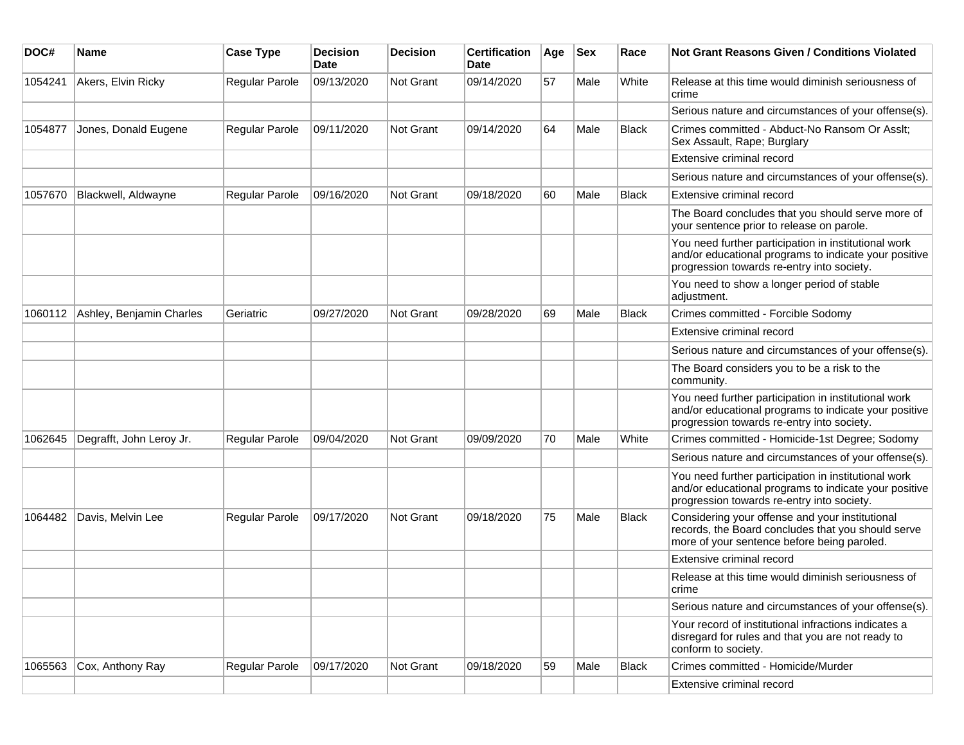| DOC#    | <b>Name</b>              | <b>Case Type</b>      | <b>Decision</b><br>Date | <b>Decision</b> | <b>Certification</b><br>Date | Age | <b>Sex</b> | Race         | <b>Not Grant Reasons Given / Conditions Violated</b>                                                                                                        |
|---------|--------------------------|-----------------------|-------------------------|-----------------|------------------------------|-----|------------|--------------|-------------------------------------------------------------------------------------------------------------------------------------------------------------|
| 1054241 | Akers, Elvin Ricky       | Regular Parole        | 09/13/2020              | Not Grant       | 09/14/2020                   | 57  | Male       | White        | Release at this time would diminish seriousness of<br>crime                                                                                                 |
|         |                          |                       |                         |                 |                              |     |            |              | Serious nature and circumstances of your offense(s).                                                                                                        |
| 1054877 | Jones, Donald Eugene     | <b>Regular Parole</b> | 09/11/2020              | Not Grant       | 09/14/2020                   | 64  | Male       | Black        | Crimes committed - Abduct-No Ransom Or Asslt;<br>Sex Assault, Rape; Burglary                                                                                |
|         |                          |                       |                         |                 |                              |     |            |              | Extensive criminal record                                                                                                                                   |
|         |                          |                       |                         |                 |                              |     |            |              | Serious nature and circumstances of your offense(s).                                                                                                        |
| 1057670 | Blackwell, Aldwayne      | Regular Parole        | 09/16/2020              | Not Grant       | 09/18/2020                   | 60  | Male       | <b>Black</b> | Extensive criminal record                                                                                                                                   |
|         |                          |                       |                         |                 |                              |     |            |              | The Board concludes that you should serve more of<br>your sentence prior to release on parole.                                                              |
|         |                          |                       |                         |                 |                              |     |            |              | You need further participation in institutional work<br>and/or educational programs to indicate your positive<br>progression towards re-entry into society. |
|         |                          |                       |                         |                 |                              |     |            |              | You need to show a longer period of stable<br>adjustment.                                                                                                   |
| 1060112 | Ashley, Benjamin Charles | Geriatric             | 09/27/2020              | Not Grant       | 09/28/2020                   | 69  | Male       | <b>Black</b> | Crimes committed - Forcible Sodomy                                                                                                                          |
|         |                          |                       |                         |                 |                              |     |            |              | Extensive criminal record                                                                                                                                   |
|         |                          |                       |                         |                 |                              |     |            |              | Serious nature and circumstances of your offense(s).                                                                                                        |
|         |                          |                       |                         |                 |                              |     |            |              | The Board considers you to be a risk to the<br>community.                                                                                                   |
|         |                          |                       |                         |                 |                              |     |            |              | You need further participation in institutional work<br>and/or educational programs to indicate your positive<br>progression towards re-entry into society. |
| 1062645 | Degrafft, John Leroy Jr. | <b>Regular Parole</b> | 09/04/2020              | Not Grant       | 09/09/2020                   | 70  | Male       | White        | Crimes committed - Homicide-1st Degree; Sodomy                                                                                                              |
|         |                          |                       |                         |                 |                              |     |            |              | Serious nature and circumstances of your offense(s).                                                                                                        |
|         |                          |                       |                         |                 |                              |     |            |              | You need further participation in institutional work<br>and/or educational programs to indicate your positive<br>progression towards re-entry into society. |
| 1064482 | Davis, Melvin Lee        | Regular Parole        | 09/17/2020              | Not Grant       | 09/18/2020                   | 75  | Male       | <b>Black</b> | Considering your offense and your institutional<br>records, the Board concludes that you should serve<br>more of your sentence before being paroled.        |
|         |                          |                       |                         |                 |                              |     |            |              | Extensive criminal record                                                                                                                                   |
|         |                          |                       |                         |                 |                              |     |            |              | Release at this time would diminish seriousness of<br>crime                                                                                                 |
|         |                          |                       |                         |                 |                              |     |            |              | Serious nature and circumstances of your offense(s).                                                                                                        |
|         |                          |                       |                         |                 |                              |     |            |              | Your record of institutional infractions indicates a<br>disregard for rules and that you are not ready to<br>conform to society.                            |
| 1065563 | Cox, Anthony Ray         | <b>Regular Parole</b> | 09/17/2020              | Not Grant       | 09/18/2020                   | 59  | Male       | <b>Black</b> | Crimes committed - Homicide/Murder                                                                                                                          |
|         |                          |                       |                         |                 |                              |     |            |              | Extensive criminal record                                                                                                                                   |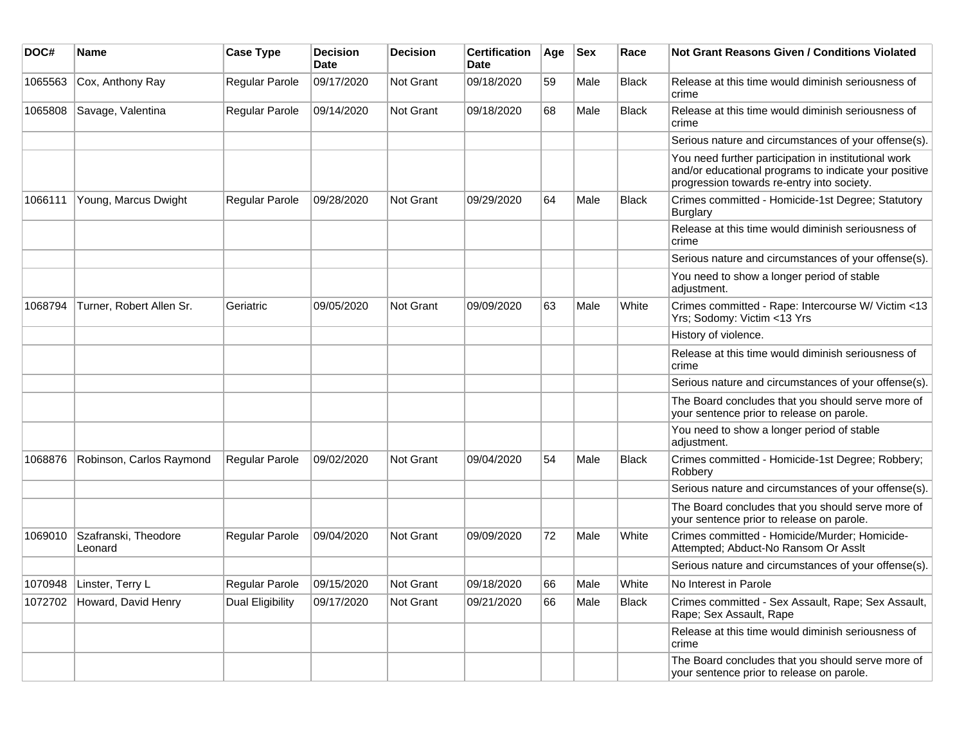| DOC#    | <b>Name</b>                     | <b>Case Type</b> | <b>Decision</b><br><b>Date</b> | <b>Decision</b>  | <b>Certification</b><br><b>Date</b> | Age | <b>Sex</b> | Race         | <b>Not Grant Reasons Given / Conditions Violated</b>                                                                                                        |
|---------|---------------------------------|------------------|--------------------------------|------------------|-------------------------------------|-----|------------|--------------|-------------------------------------------------------------------------------------------------------------------------------------------------------------|
| 1065563 | Cox, Anthony Ray                | Regular Parole   | 09/17/2020                     | Not Grant        | 09/18/2020                          | 59  | Male       | <b>Black</b> | Release at this time would diminish seriousness of<br>crime                                                                                                 |
| 1065808 | Savage, Valentina               | Regular Parole   | 09/14/2020                     | Not Grant        | 09/18/2020                          | 68  | Male       | <b>Black</b> | Release at this time would diminish seriousness of<br>crime                                                                                                 |
|         |                                 |                  |                                |                  |                                     |     |            |              | Serious nature and circumstances of your offense(s).                                                                                                        |
|         |                                 |                  |                                |                  |                                     |     |            |              | You need further participation in institutional work<br>and/or educational programs to indicate your positive<br>progression towards re-entry into society. |
| 1066111 | Young, Marcus Dwight            | Regular Parole   | 09/28/2020                     | <b>Not Grant</b> | 09/29/2020                          | 64  | Male       | <b>Black</b> | Crimes committed - Homicide-1st Degree; Statutory<br>Burglary                                                                                               |
|         |                                 |                  |                                |                  |                                     |     |            |              | Release at this time would diminish seriousness of<br>crime                                                                                                 |
|         |                                 |                  |                                |                  |                                     |     |            |              | Serious nature and circumstances of your offense(s).                                                                                                        |
|         |                                 |                  |                                |                  |                                     |     |            |              | You need to show a longer period of stable<br>adjustment.                                                                                                   |
| 1068794 | Turner, Robert Allen Sr.        | Geriatric        | 09/05/2020                     | Not Grant        | 09/09/2020                          | 63  | Male       | White        | Crimes committed - Rape: Intercourse W/ Victim <13<br>Yrs; Sodomy: Victim <13 Yrs                                                                           |
|         |                                 |                  |                                |                  |                                     |     |            |              | History of violence.                                                                                                                                        |
|         |                                 |                  |                                |                  |                                     |     |            |              | Release at this time would diminish seriousness of<br>crime                                                                                                 |
|         |                                 |                  |                                |                  |                                     |     |            |              | Serious nature and circumstances of your offense(s).                                                                                                        |
|         |                                 |                  |                                |                  |                                     |     |            |              | The Board concludes that you should serve more of<br>your sentence prior to release on parole.                                                              |
|         |                                 |                  |                                |                  |                                     |     |            |              | You need to show a longer period of stable<br>adjustment.                                                                                                   |
| 1068876 | Robinson, Carlos Raymond        | Regular Parole   | 09/02/2020                     | <b>Not Grant</b> | 09/04/2020                          | 54  | Male       | <b>Black</b> | Crimes committed - Homicide-1st Degree; Robbery;<br>Robbery                                                                                                 |
|         |                                 |                  |                                |                  |                                     |     |            |              | Serious nature and circumstances of your offense(s).                                                                                                        |
|         |                                 |                  |                                |                  |                                     |     |            |              | The Board concludes that you should serve more of<br>your sentence prior to release on parole.                                                              |
| 1069010 | Szafranski, Theodore<br>Leonard | Regular Parole   | 09/04/2020                     | <b>Not Grant</b> | 09/09/2020                          | 72  | Male       | White        | Crimes committed - Homicide/Murder; Homicide-<br>Attempted; Abduct-No Ransom Or Asslt                                                                       |
|         |                                 |                  |                                |                  |                                     |     |            |              | Serious nature and circumstances of your offense(s).                                                                                                        |
| 1070948 | Linster, Terry L                | Regular Parole   | 09/15/2020                     | <b>Not Grant</b> | 09/18/2020                          | 66  | Male       | White        | No Interest in Parole                                                                                                                                       |
| 1072702 | Howard, David Henry             | Dual Eligibility | 09/17/2020                     | <b>Not Grant</b> | 09/21/2020                          | 66  | Male       | <b>Black</b> | Crimes committed - Sex Assault, Rape; Sex Assault,<br>Rape; Sex Assault, Rape                                                                               |
|         |                                 |                  |                                |                  |                                     |     |            |              | Release at this time would diminish seriousness of<br>crime                                                                                                 |
|         |                                 |                  |                                |                  |                                     |     |            |              | The Board concludes that you should serve more of<br>your sentence prior to release on parole.                                                              |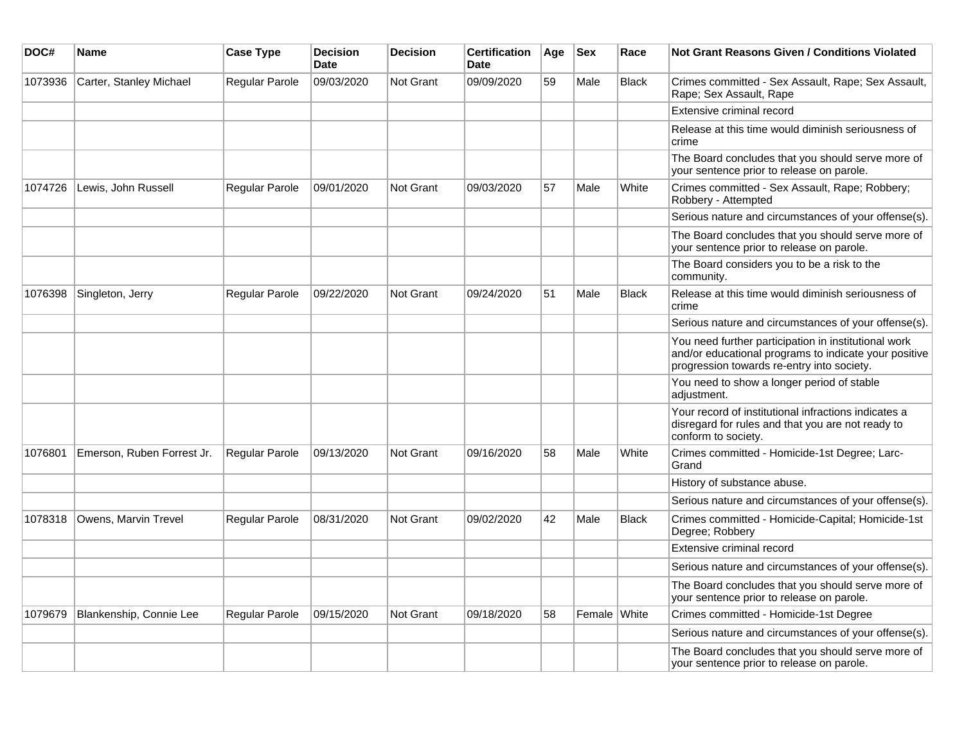| DOC#    | Name                       | <b>Case Type</b> | <b>Decision</b><br><b>Date</b> | <b>Decision</b> | Certification<br><b>Date</b> | Age | <b>Sex</b>   | Race         | Not Grant Reasons Given / Conditions Violated                                                                                                               |
|---------|----------------------------|------------------|--------------------------------|-----------------|------------------------------|-----|--------------|--------------|-------------------------------------------------------------------------------------------------------------------------------------------------------------|
| 1073936 | Carter, Stanley Michael    | Regular Parole   | 09/03/2020                     | Not Grant       | 09/09/2020                   | 59  | Male         | Black        | Crimes committed - Sex Assault, Rape; Sex Assault,<br>Rape; Sex Assault, Rape                                                                               |
|         |                            |                  |                                |                 |                              |     |              |              | Extensive criminal record                                                                                                                                   |
|         |                            |                  |                                |                 |                              |     |              |              | Release at this time would diminish seriousness of<br>crime                                                                                                 |
|         |                            |                  |                                |                 |                              |     |              |              | The Board concludes that you should serve more of<br>your sentence prior to release on parole.                                                              |
| 1074726 | Lewis, John Russell        | Regular Parole   | 09/01/2020                     | Not Grant       | 09/03/2020                   | 57  | Male         | White        | Crimes committed - Sex Assault, Rape; Robbery;<br>Robbery - Attempted                                                                                       |
|         |                            |                  |                                |                 |                              |     |              |              | Serious nature and circumstances of your offense(s).                                                                                                        |
|         |                            |                  |                                |                 |                              |     |              |              | The Board concludes that you should serve more of<br>your sentence prior to release on parole.                                                              |
|         |                            |                  |                                |                 |                              |     |              |              | The Board considers you to be a risk to the<br>community.                                                                                                   |
| 1076398 | Singleton, Jerry           | Regular Parole   | 09/22/2020                     | Not Grant       | 09/24/2020                   | 51  | Male         | <b>Black</b> | Release at this time would diminish seriousness of<br>crime                                                                                                 |
|         |                            |                  |                                |                 |                              |     |              |              | Serious nature and circumstances of your offense(s).                                                                                                        |
|         |                            |                  |                                |                 |                              |     |              |              | You need further participation in institutional work<br>and/or educational programs to indicate your positive<br>progression towards re-entry into society. |
|         |                            |                  |                                |                 |                              |     |              |              | You need to show a longer period of stable<br>adjustment.                                                                                                   |
|         |                            |                  |                                |                 |                              |     |              |              | Your record of institutional infractions indicates a<br>disregard for rules and that you are not ready to<br>conform to society.                            |
| 1076801 | Emerson, Ruben Forrest Jr. | Regular Parole   | 09/13/2020                     | Not Grant       | 09/16/2020                   | 58  | Male         | White        | Crimes committed - Homicide-1st Degree; Larc-<br>Grand                                                                                                      |
|         |                            |                  |                                |                 |                              |     |              |              | History of substance abuse.                                                                                                                                 |
|         |                            |                  |                                |                 |                              |     |              |              | Serious nature and circumstances of your offense(s).                                                                                                        |
| 1078318 | Owens, Marvin Trevel       | Regular Parole   | 08/31/2020                     | Not Grant       | 09/02/2020                   | 42  | Male         | <b>Black</b> | Crimes committed - Homicide-Capital; Homicide-1st<br>Degree; Robbery                                                                                        |
|         |                            |                  |                                |                 |                              |     |              |              | Extensive criminal record                                                                                                                                   |
|         |                            |                  |                                |                 |                              |     |              |              | Serious nature and circumstances of your offense(s).                                                                                                        |
|         |                            |                  |                                |                 |                              |     |              |              | The Board concludes that you should serve more of<br>your sentence prior to release on parole.                                                              |
| 1079679 | Blankenship, Connie Lee    | Regular Parole   | 09/15/2020                     | Not Grant       | 09/18/2020                   | 58  | Female White |              | Crimes committed - Homicide-1st Degree                                                                                                                      |
|         |                            |                  |                                |                 |                              |     |              |              | Serious nature and circumstances of your offense(s).                                                                                                        |
|         |                            |                  |                                |                 |                              |     |              |              | The Board concludes that you should serve more of<br>your sentence prior to release on parole.                                                              |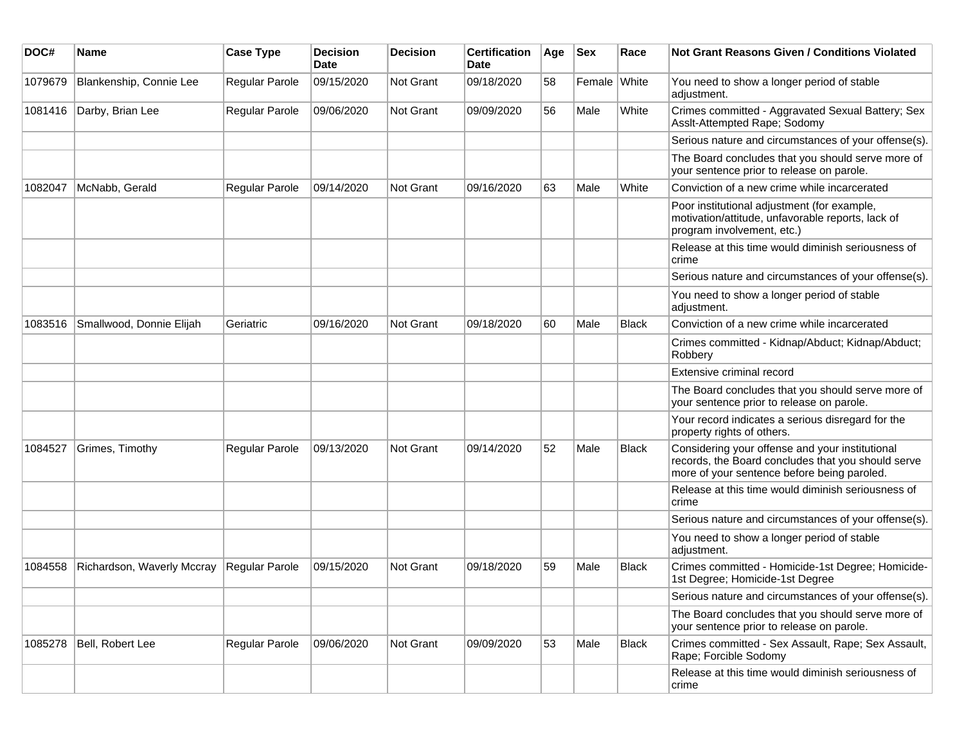| DOC#    | Name                       | <b>Case Type</b>      | <b>Decision</b><br>Date | <b>Decision</b>  | <b>Certification</b><br>Date | Age | <b>Sex</b>   | Race         | Not Grant Reasons Given / Conditions Violated                                                                                                        |
|---------|----------------------------|-----------------------|-------------------------|------------------|------------------------------|-----|--------------|--------------|------------------------------------------------------------------------------------------------------------------------------------------------------|
| 1079679 | Blankenship, Connie Lee    | <b>Regular Parole</b> | 09/15/2020              | Not Grant        | 09/18/2020                   | 58  | Female White |              | You need to show a longer period of stable<br>adjustment.                                                                                            |
| 1081416 | Darby, Brian Lee           | Regular Parole        | 09/06/2020              | <b>Not Grant</b> | 09/09/2020                   | 56  | Male         | White        | Crimes committed - Aggravated Sexual Battery; Sex<br>Asslt-Attempted Rape; Sodomy                                                                    |
|         |                            |                       |                         |                  |                              |     |              |              | Serious nature and circumstances of your offense(s).                                                                                                 |
|         |                            |                       |                         |                  |                              |     |              |              | The Board concludes that you should serve more of<br>your sentence prior to release on parole.                                                       |
| 1082047 | McNabb, Gerald             | Regular Parole        | 09/14/2020              | <b>Not Grant</b> | 09/16/2020                   | 63  | Male         | White        | Conviction of a new crime while incarcerated                                                                                                         |
|         |                            |                       |                         |                  |                              |     |              |              | Poor institutional adjustment (for example,<br>motivation/attitude, unfavorable reports, lack of<br>program involvement, etc.)                       |
|         |                            |                       |                         |                  |                              |     |              |              | Release at this time would diminish seriousness of<br>crime                                                                                          |
|         |                            |                       |                         |                  |                              |     |              |              | Serious nature and circumstances of your offense(s).                                                                                                 |
|         |                            |                       |                         |                  |                              |     |              |              | You need to show a longer period of stable<br>adjustment.                                                                                            |
| 1083516 | Smallwood, Donnie Elijah   | Geriatric             | 09/16/2020              | <b>Not Grant</b> | 09/18/2020                   | 60  | Male         | <b>Black</b> | Conviction of a new crime while incarcerated                                                                                                         |
|         |                            |                       |                         |                  |                              |     |              |              | Crimes committed - Kidnap/Abduct; Kidnap/Abduct;<br>Robbery                                                                                          |
|         |                            |                       |                         |                  |                              |     |              |              | Extensive criminal record                                                                                                                            |
|         |                            |                       |                         |                  |                              |     |              |              | The Board concludes that you should serve more of<br>your sentence prior to release on parole.                                                       |
|         |                            |                       |                         |                  |                              |     |              |              | Your record indicates a serious disregard for the<br>property rights of others.                                                                      |
| 1084527 | Grimes, Timothy            | Regular Parole        | 09/13/2020              | <b>Not Grant</b> | 09/14/2020                   | 52  | Male         | <b>Black</b> | Considering your offense and your institutional<br>records, the Board concludes that you should serve<br>more of your sentence before being paroled. |
|         |                            |                       |                         |                  |                              |     |              |              | Release at this time would diminish seriousness of<br>crime                                                                                          |
|         |                            |                       |                         |                  |                              |     |              |              | Serious nature and circumstances of your offense(s).                                                                                                 |
|         |                            |                       |                         |                  |                              |     |              |              | You need to show a longer period of stable<br>adjustment.                                                                                            |
| 1084558 | Richardson, Waverly Mccray | Regular Parole        | 09/15/2020              | <b>Not Grant</b> | 09/18/2020                   | 59  | Male         | <b>Black</b> | Crimes committed - Homicide-1st Degree; Homicide-<br>1st Degree; Homicide-1st Degree                                                                 |
|         |                            |                       |                         |                  |                              |     |              |              | Serious nature and circumstances of your offense(s).                                                                                                 |
|         |                            |                       |                         |                  |                              |     |              |              | The Board concludes that you should serve more of<br>your sentence prior to release on parole.                                                       |
| 1085278 | Bell, Robert Lee           | Regular Parole        | 09/06/2020              | Not Grant        | 09/09/2020                   | 53  | Male         | <b>Black</b> | Crimes committed - Sex Assault, Rape; Sex Assault,<br>Rape; Forcible Sodomy                                                                          |
|         |                            |                       |                         |                  |                              |     |              |              | Release at this time would diminish seriousness of<br>crime                                                                                          |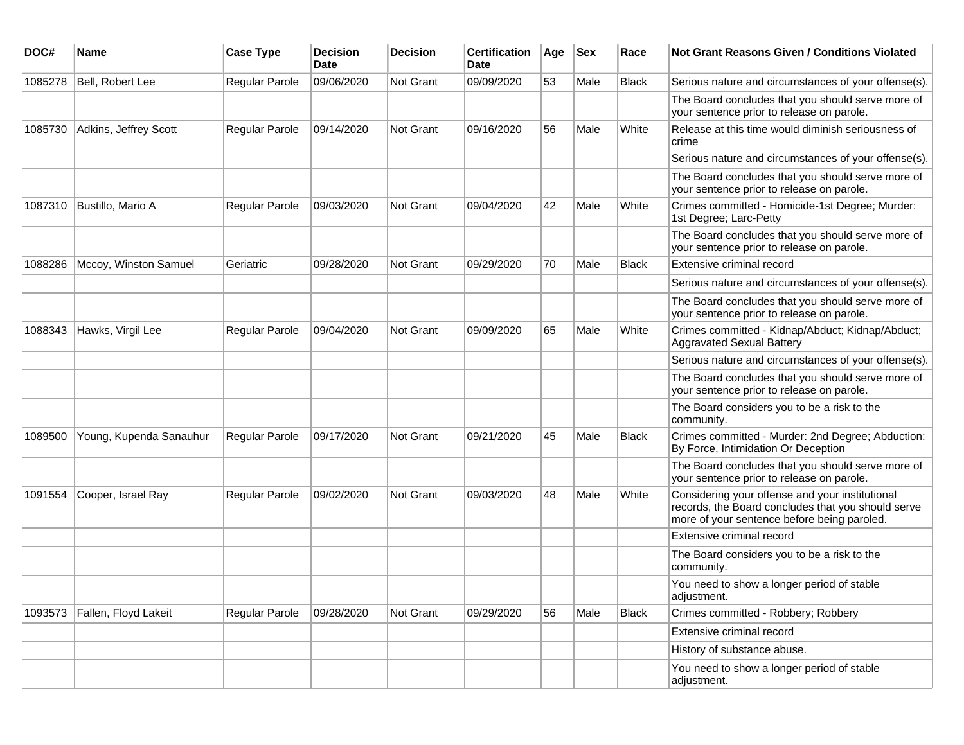| DOC#    | Name                    | <b>Case Type</b>      | <b>Decision</b><br><b>Date</b> | <b>Decision</b> | <b>Certification</b><br>Date | Age | <b>Sex</b> | Race         | Not Grant Reasons Given / Conditions Violated                                                                                                        |
|---------|-------------------------|-----------------------|--------------------------------|-----------------|------------------------------|-----|------------|--------------|------------------------------------------------------------------------------------------------------------------------------------------------------|
| 1085278 | Bell, Robert Lee        | Regular Parole        | 09/06/2020                     | Not Grant       | 09/09/2020                   | 53  | Male       | <b>Black</b> | Serious nature and circumstances of your offense(s).                                                                                                 |
|         |                         |                       |                                |                 |                              |     |            |              | The Board concludes that you should serve more of<br>your sentence prior to release on parole.                                                       |
| 1085730 | Adkins, Jeffrey Scott   | Regular Parole        | 09/14/2020                     | Not Grant       | 09/16/2020                   | 56  | Male       | White        | Release at this time would diminish seriousness of<br>crime                                                                                          |
|         |                         |                       |                                |                 |                              |     |            |              | Serious nature and circumstances of your offense(s).                                                                                                 |
|         |                         |                       |                                |                 |                              |     |            |              | The Board concludes that you should serve more of<br>your sentence prior to release on parole.                                                       |
| 1087310 | Bustillo, Mario A       | Regular Parole        | 09/03/2020                     | Not Grant       | 09/04/2020                   | 42  | Male       | White        | Crimes committed - Homicide-1st Degree; Murder:<br>1st Degree; Larc-Petty                                                                            |
|         |                         |                       |                                |                 |                              |     |            |              | The Board concludes that you should serve more of<br>your sentence prior to release on parole.                                                       |
| 1088286 | Mccoy, Winston Samuel   | Geriatric             | 09/28/2020                     | Not Grant       | 09/29/2020                   | 70  | Male       | <b>Black</b> | Extensive criminal record                                                                                                                            |
|         |                         |                       |                                |                 |                              |     |            |              | Serious nature and circumstances of your offense(s).                                                                                                 |
|         |                         |                       |                                |                 |                              |     |            |              | The Board concludes that you should serve more of<br>your sentence prior to release on parole.                                                       |
| 1088343 | Hawks, Virgil Lee       | Regular Parole        | 09/04/2020                     | Not Grant       | 09/09/2020                   | 65  | Male       | White        | Crimes committed - Kidnap/Abduct; Kidnap/Abduct;<br><b>Aggravated Sexual Battery</b>                                                                 |
|         |                         |                       |                                |                 |                              |     |            |              | Serious nature and circumstances of your offense(s).                                                                                                 |
|         |                         |                       |                                |                 |                              |     |            |              | The Board concludes that you should serve more of<br>your sentence prior to release on parole.                                                       |
|         |                         |                       |                                |                 |                              |     |            |              | The Board considers you to be a risk to the<br>community.                                                                                            |
| 1089500 | Young, Kupenda Sanauhur | <b>Regular Parole</b> | 09/17/2020                     | Not Grant       | 09/21/2020                   | 45  | Male       | Black        | Crimes committed - Murder: 2nd Degree; Abduction:<br>By Force, Intimidation Or Deception                                                             |
|         |                         |                       |                                |                 |                              |     |            |              | The Board concludes that you should serve more of<br>your sentence prior to release on parole.                                                       |
| 1091554 | Cooper, Israel Ray      | Regular Parole        | 09/02/2020                     | Not Grant       | 09/03/2020                   | 48  | Male       | White        | Considering your offense and your institutional<br>records, the Board concludes that you should serve<br>more of your sentence before being paroled. |
|         |                         |                       |                                |                 |                              |     |            |              | Extensive criminal record                                                                                                                            |
|         |                         |                       |                                |                 |                              |     |            |              | The Board considers you to be a risk to the<br>community.                                                                                            |
|         |                         |                       |                                |                 |                              |     |            |              | You need to show a longer period of stable<br>adjustment.                                                                                            |
| 1093573 | Fallen, Floyd Lakeit    | Regular Parole        | 09/28/2020                     | Not Grant       | 09/29/2020                   | 56  | Male       | <b>Black</b> | Crimes committed - Robbery; Robbery                                                                                                                  |
|         |                         |                       |                                |                 |                              |     |            |              | Extensive criminal record                                                                                                                            |
|         |                         |                       |                                |                 |                              |     |            |              | History of substance abuse.                                                                                                                          |
|         |                         |                       |                                |                 |                              |     |            |              | You need to show a longer period of stable<br>adjustment.                                                                                            |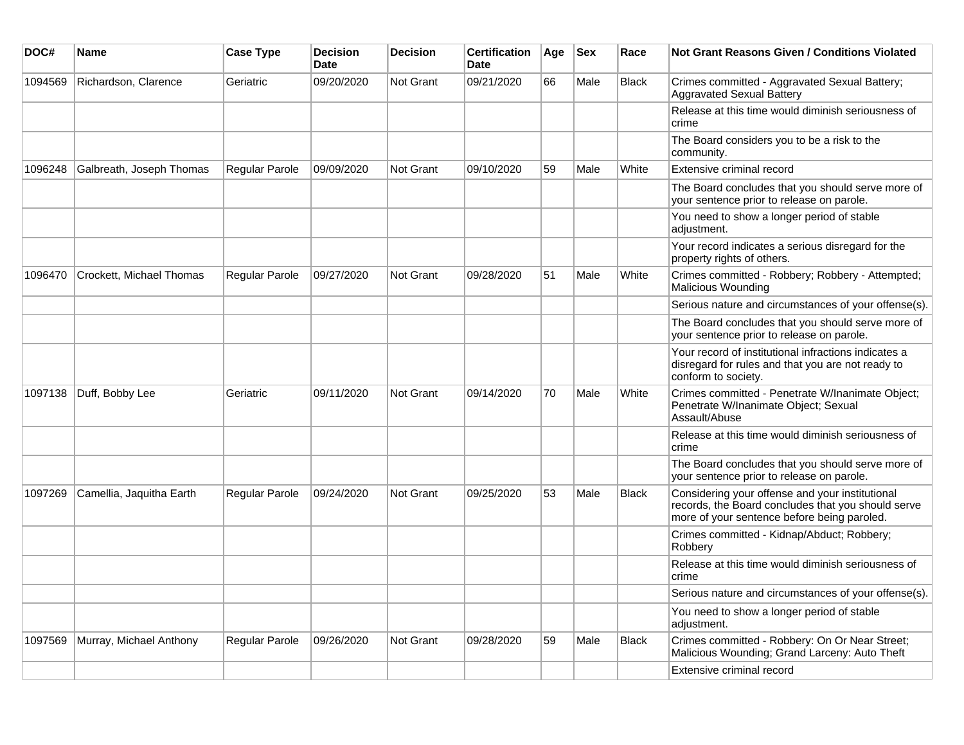| DOC#    | Name                     | <b>Case Type</b>      | <b>Decision</b><br>Date | <b>Decision</b>  | <b>Certification</b><br>Date | Age | <b>Sex</b> | Race         | <b>Not Grant Reasons Given / Conditions Violated</b>                                                                                                 |
|---------|--------------------------|-----------------------|-------------------------|------------------|------------------------------|-----|------------|--------------|------------------------------------------------------------------------------------------------------------------------------------------------------|
| 1094569 | Richardson, Clarence     | Geriatric             | 09/20/2020              | Not Grant        | 09/21/2020                   | 66  | Male       | Black        | Crimes committed - Aggravated Sexual Battery;<br>Aggravated Sexual Battery                                                                           |
|         |                          |                       |                         |                  |                              |     |            |              | Release at this time would diminish seriousness of<br>crime                                                                                          |
|         |                          |                       |                         |                  |                              |     |            |              | The Board considers you to be a risk to the<br>community.                                                                                            |
| 1096248 | Galbreath, Joseph Thomas | <b>Regular Parole</b> | 09/09/2020              | Not Grant        | 09/10/2020                   | 59  | Male       | White        | Extensive criminal record                                                                                                                            |
|         |                          |                       |                         |                  |                              |     |            |              | The Board concludes that you should serve more of<br>your sentence prior to release on parole.                                                       |
|         |                          |                       |                         |                  |                              |     |            |              | You need to show a longer period of stable<br>adjustment.                                                                                            |
|         |                          |                       |                         |                  |                              |     |            |              | Your record indicates a serious disregard for the<br>property rights of others.                                                                      |
| 1096470 | Crockett, Michael Thomas | <b>Regular Parole</b> | 09/27/2020              | <b>Not Grant</b> | 09/28/2020                   | 51  | Male       | White        | Crimes committed - Robbery; Robbery - Attempted;<br>Malicious Wounding                                                                               |
|         |                          |                       |                         |                  |                              |     |            |              | Serious nature and circumstances of your offense(s).                                                                                                 |
|         |                          |                       |                         |                  |                              |     |            |              | The Board concludes that you should serve more of<br>your sentence prior to release on parole.                                                       |
|         |                          |                       |                         |                  |                              |     |            |              | Your record of institutional infractions indicates a<br>disregard for rules and that you are not ready to<br>conform to society.                     |
| 1097138 | Duff, Bobby Lee          | Geriatric             | 09/11/2020              | Not Grant        | 09/14/2020                   | 70  | Male       | White        | Crimes committed - Penetrate W/Inanimate Object;<br>Penetrate W/Inanimate Object; Sexual<br>Assault/Abuse                                            |
|         |                          |                       |                         |                  |                              |     |            |              | Release at this time would diminish seriousness of<br>crime                                                                                          |
|         |                          |                       |                         |                  |                              |     |            |              | The Board concludes that you should serve more of<br>your sentence prior to release on parole.                                                       |
| 1097269 | Camellia, Jaquitha Earth | Regular Parole        | 09/24/2020              | <b>Not Grant</b> | 09/25/2020                   | 53  | Male       | <b>Black</b> | Considering your offense and your institutional<br>records, the Board concludes that you should serve<br>more of your sentence before being paroled. |
|         |                          |                       |                         |                  |                              |     |            |              | Crimes committed - Kidnap/Abduct; Robbery;<br>Robbery                                                                                                |
|         |                          |                       |                         |                  |                              |     |            |              | Release at this time would diminish seriousness of<br>crime                                                                                          |
|         |                          |                       |                         |                  |                              |     |            |              | Serious nature and circumstances of your offense(s).                                                                                                 |
|         |                          |                       |                         |                  |                              |     |            |              | You need to show a longer period of stable<br>adjustment.                                                                                            |
| 1097569 | Murray, Michael Anthony  | Regular Parole        | 09/26/2020              | Not Grant        | 09/28/2020                   | 59  | Male       | Black        | Crimes committed - Robbery: On Or Near Street;<br>Malicious Wounding; Grand Larceny: Auto Theft                                                      |
|         |                          |                       |                         |                  |                              |     |            |              | Extensive criminal record                                                                                                                            |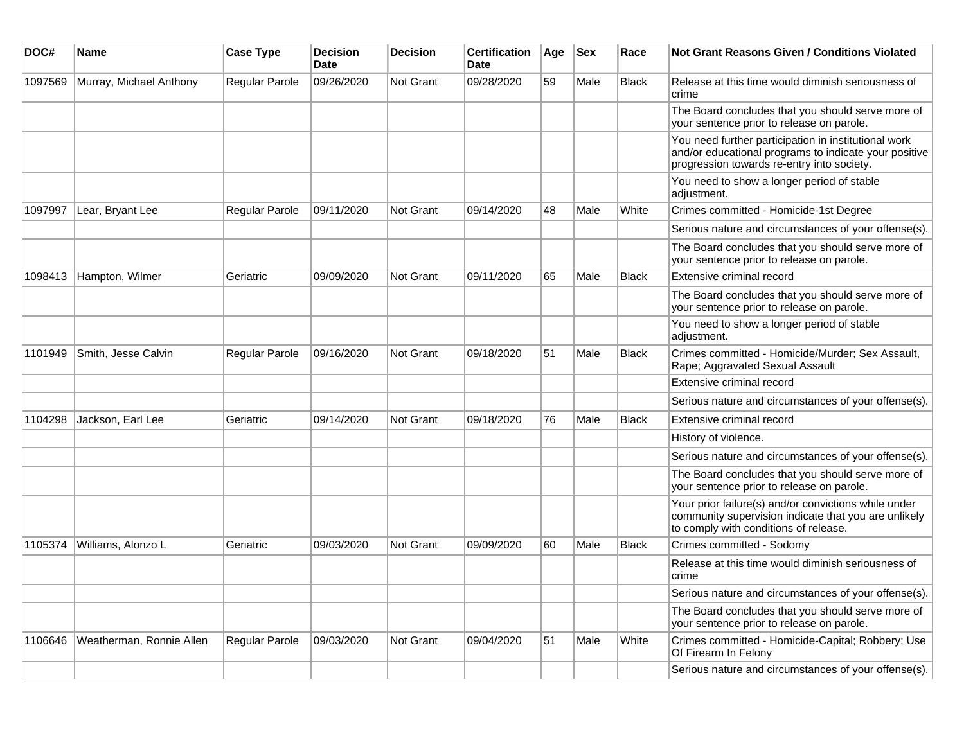| DOC#    | Name                     | <b>Case Type</b>      | <b>Decision</b><br><b>Date</b> | <b>Decision</b>  | <b>Certification</b><br><b>Date</b> | Age | <b>Sex</b> | Race         | <b>Not Grant Reasons Given / Conditions Violated</b>                                                                                                        |
|---------|--------------------------|-----------------------|--------------------------------|------------------|-------------------------------------|-----|------------|--------------|-------------------------------------------------------------------------------------------------------------------------------------------------------------|
| 1097569 | Murray, Michael Anthony  | Regular Parole        | 09/26/2020                     | Not Grant        | 09/28/2020                          | 59  | Male       | <b>Black</b> | Release at this time would diminish seriousness of<br>crime                                                                                                 |
|         |                          |                       |                                |                  |                                     |     |            |              | The Board concludes that you should serve more of<br>your sentence prior to release on parole.                                                              |
|         |                          |                       |                                |                  |                                     |     |            |              | You need further participation in institutional work<br>and/or educational programs to indicate your positive<br>progression towards re-entry into society. |
|         |                          |                       |                                |                  |                                     |     |            |              | You need to show a longer period of stable<br>adjustment.                                                                                                   |
| 1097997 | Lear, Bryant Lee         | Regular Parole        | 09/11/2020                     | Not Grant        | 09/14/2020                          | 48  | Male       | White        | Crimes committed - Homicide-1st Degree                                                                                                                      |
|         |                          |                       |                                |                  |                                     |     |            |              | Serious nature and circumstances of your offense(s).                                                                                                        |
|         |                          |                       |                                |                  |                                     |     |            |              | The Board concludes that you should serve more of<br>your sentence prior to release on parole.                                                              |
| 1098413 | Hampton, Wilmer          | Geriatric             | 09/09/2020                     | Not Grant        | 09/11/2020                          | 65  | Male       | <b>Black</b> | Extensive criminal record                                                                                                                                   |
|         |                          |                       |                                |                  |                                     |     |            |              | The Board concludes that you should serve more of<br>your sentence prior to release on parole.                                                              |
|         |                          |                       |                                |                  |                                     |     |            |              | You need to show a longer period of stable<br>adjustment.                                                                                                   |
| 1101949 | Smith, Jesse Calvin      | <b>Regular Parole</b> | 09/16/2020                     | Not Grant        | 09/18/2020                          | 51  | Male       | <b>Black</b> | Crimes committed - Homicide/Murder; Sex Assault,<br>Rape; Aggravated Sexual Assault                                                                         |
|         |                          |                       |                                |                  |                                     |     |            |              | Extensive criminal record                                                                                                                                   |
|         |                          |                       |                                |                  |                                     |     |            |              | Serious nature and circumstances of your offense(s).                                                                                                        |
| 1104298 | Jackson, Earl Lee        | Geriatric             | 09/14/2020                     | <b>Not Grant</b> | 09/18/2020                          | 76  | Male       | <b>Black</b> | Extensive criminal record                                                                                                                                   |
|         |                          |                       |                                |                  |                                     |     |            |              | History of violence.                                                                                                                                        |
|         |                          |                       |                                |                  |                                     |     |            |              | Serious nature and circumstances of your offense(s).                                                                                                        |
|         |                          |                       |                                |                  |                                     |     |            |              | The Board concludes that you should serve more of<br>your sentence prior to release on parole.                                                              |
|         |                          |                       |                                |                  |                                     |     |            |              | Your prior failure(s) and/or convictions while under<br>community supervision indicate that you are unlikely<br>to comply with conditions of release.       |
| 1105374 | Williams, Alonzo L       | Geriatric             | 09/03/2020                     | Not Grant        | 09/09/2020                          | 60  | Male       | <b>Black</b> | Crimes committed - Sodomy                                                                                                                                   |
|         |                          |                       |                                |                  |                                     |     |            |              | Release at this time would diminish seriousness of<br>crime                                                                                                 |
|         |                          |                       |                                |                  |                                     |     |            |              | Serious nature and circumstances of your offense(s).                                                                                                        |
|         |                          |                       |                                |                  |                                     |     |            |              | The Board concludes that you should serve more of<br>your sentence prior to release on parole.                                                              |
| 1106646 | Weatherman, Ronnie Allen | Regular Parole        | 09/03/2020                     | <b>Not Grant</b> | 09/04/2020                          | 51  | Male       | White        | Crimes committed - Homicide-Capital; Robbery; Use<br>Of Firearm In Felony                                                                                   |
|         |                          |                       |                                |                  |                                     |     |            |              | Serious nature and circumstances of your offense(s).                                                                                                        |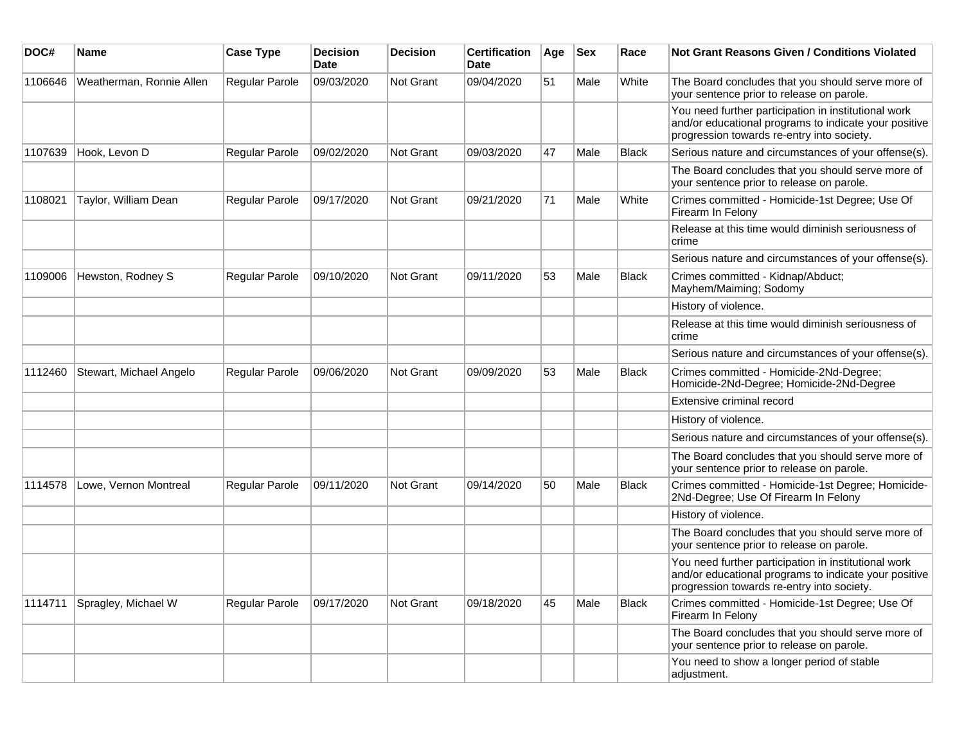| DOC#    | <b>Name</b>              | <b>Case Type</b>      | <b>Decision</b><br>Date | <b>Decision</b> | <b>Certification</b><br>Date | Age | <b>Sex</b> | Race         | <b>Not Grant Reasons Given / Conditions Violated</b>                                                                                                        |
|---------|--------------------------|-----------------------|-------------------------|-----------------|------------------------------|-----|------------|--------------|-------------------------------------------------------------------------------------------------------------------------------------------------------------|
| 1106646 | Weatherman, Ronnie Allen | Regular Parole        | 09/03/2020              | Not Grant       | 09/04/2020                   | 51  | Male       | White        | The Board concludes that you should serve more of<br>your sentence prior to release on parole.                                                              |
|         |                          |                       |                         |                 |                              |     |            |              | You need further participation in institutional work<br>and/or educational programs to indicate your positive<br>progression towards re-entry into society. |
| 1107639 | Hook, Levon D            | Regular Parole        | 09/02/2020              | Not Grant       | 09/03/2020                   | 47  | Male       | <b>Black</b> | Serious nature and circumstances of your offense(s).                                                                                                        |
|         |                          |                       |                         |                 |                              |     |            |              | The Board concludes that you should serve more of<br>your sentence prior to release on parole.                                                              |
| 1108021 | Taylor, William Dean     | Regular Parole        | 09/17/2020              | Not Grant       | 09/21/2020                   | 71  | Male       | White        | Crimes committed - Homicide-1st Degree; Use Of<br>Firearm In Felony                                                                                         |
|         |                          |                       |                         |                 |                              |     |            |              | Release at this time would diminish seriousness of<br>crime                                                                                                 |
|         |                          |                       |                         |                 |                              |     |            |              | Serious nature and circumstances of your offense(s).                                                                                                        |
| 1109006 | Hewston, Rodney S        | <b>Regular Parole</b> | 09/10/2020              | Not Grant       | 09/11/2020                   | 53  | Male       | Black        | Crimes committed - Kidnap/Abduct;<br>Mayhem/Maiming; Sodomy                                                                                                 |
|         |                          |                       |                         |                 |                              |     |            |              | History of violence.                                                                                                                                        |
|         |                          |                       |                         |                 |                              |     |            |              | Release at this time would diminish seriousness of<br>crime                                                                                                 |
|         |                          |                       |                         |                 |                              |     |            |              | Serious nature and circumstances of your offense(s).                                                                                                        |
| 1112460 | Stewart, Michael Angelo  | <b>Regular Parole</b> | 09/06/2020              | Not Grant       | 09/09/2020                   | 53  | Male       | <b>Black</b> | Crimes committed - Homicide-2Nd-Degree;<br>Homicide-2Nd-Degree; Homicide-2Nd-Degree                                                                         |
|         |                          |                       |                         |                 |                              |     |            |              | Extensive criminal record                                                                                                                                   |
|         |                          |                       |                         |                 |                              |     |            |              | History of violence.                                                                                                                                        |
|         |                          |                       |                         |                 |                              |     |            |              | Serious nature and circumstances of your offense(s).                                                                                                        |
|         |                          |                       |                         |                 |                              |     |            |              | The Board concludes that you should serve more of<br>your sentence prior to release on parole.                                                              |
| 1114578 | Lowe, Vernon Montreal    | <b>Regular Parole</b> | 09/11/2020              | Not Grant       | 09/14/2020                   | 50  | Male       | <b>Black</b> | Crimes committed - Homicide-1st Degree; Homicide-<br>2Nd-Degree; Use Of Firearm In Felony                                                                   |
|         |                          |                       |                         |                 |                              |     |            |              | History of violence.                                                                                                                                        |
|         |                          |                       |                         |                 |                              |     |            |              | The Board concludes that you should serve more of<br>your sentence prior to release on parole.                                                              |
|         |                          |                       |                         |                 |                              |     |            |              | You need further participation in institutional work<br>and/or educational programs to indicate your positive<br>progression towards re-entry into society. |
| 1114711 | Spragley, Michael W      | Regular Parole        | 09/17/2020              | Not Grant       | 09/18/2020                   | 45  | Male       | <b>Black</b> | Crimes committed - Homicide-1st Degree; Use Of<br>Firearm In Felony                                                                                         |
|         |                          |                       |                         |                 |                              |     |            |              | The Board concludes that you should serve more of<br>your sentence prior to release on parole.                                                              |
|         |                          |                       |                         |                 |                              |     |            |              | You need to show a longer period of stable<br>adjustment.                                                                                                   |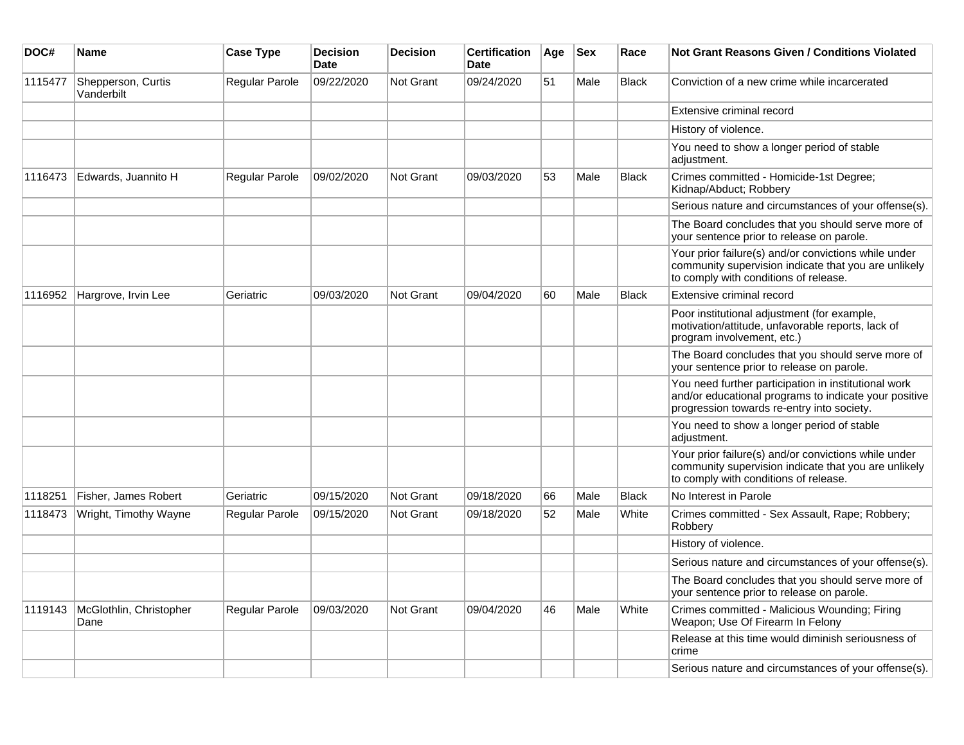| DOC#    | <b>Name</b>                      | <b>Case Type</b> | <b>Decision</b><br><b>Date</b> | <b>Decision</b>  | <b>Certification</b><br><b>Date</b> | Age | <b>Sex</b> | Race         | <b>Not Grant Reasons Given / Conditions Violated</b>                                                                                                        |
|---------|----------------------------------|------------------|--------------------------------|------------------|-------------------------------------|-----|------------|--------------|-------------------------------------------------------------------------------------------------------------------------------------------------------------|
| 1115477 | Shepperson, Curtis<br>Vanderbilt | Regular Parole   | 09/22/2020                     | Not Grant        | 09/24/2020                          | 51  | Male       | <b>Black</b> | Conviction of a new crime while incarcerated                                                                                                                |
|         |                                  |                  |                                |                  |                                     |     |            |              | Extensive criminal record                                                                                                                                   |
|         |                                  |                  |                                |                  |                                     |     |            |              | History of violence.                                                                                                                                        |
|         |                                  |                  |                                |                  |                                     |     |            |              | You need to show a longer period of stable<br>adjustment.                                                                                                   |
| 1116473 | Edwards, Juannito H              | Regular Parole   | 09/02/2020                     | <b>Not Grant</b> | 09/03/2020                          | 53  | Male       | <b>Black</b> | Crimes committed - Homicide-1st Degree;<br>Kidnap/Abduct; Robbery                                                                                           |
|         |                                  |                  |                                |                  |                                     |     |            |              | Serious nature and circumstances of your offense(s).                                                                                                        |
|         |                                  |                  |                                |                  |                                     |     |            |              | The Board concludes that you should serve more of<br>your sentence prior to release on parole.                                                              |
|         |                                  |                  |                                |                  |                                     |     |            |              | Your prior failure(s) and/or convictions while under<br>community supervision indicate that you are unlikely<br>to comply with conditions of release.       |
| 1116952 | Hargrove, Irvin Lee              | Geriatric        | 09/03/2020                     | <b>Not Grant</b> | 09/04/2020                          | 60  | Male       | <b>Black</b> | Extensive criminal record                                                                                                                                   |
|         |                                  |                  |                                |                  |                                     |     |            |              | Poor institutional adjustment (for example,<br>motivation/attitude, unfavorable reports, lack of<br>program involvement, etc.)                              |
|         |                                  |                  |                                |                  |                                     |     |            |              | The Board concludes that you should serve more of<br>your sentence prior to release on parole.                                                              |
|         |                                  |                  |                                |                  |                                     |     |            |              | You need further participation in institutional work<br>and/or educational programs to indicate your positive<br>progression towards re-entry into society. |
|         |                                  |                  |                                |                  |                                     |     |            |              | You need to show a longer period of stable<br>adjustment.                                                                                                   |
|         |                                  |                  |                                |                  |                                     |     |            |              | Your prior failure(s) and/or convictions while under<br>community supervision indicate that you are unlikely<br>to comply with conditions of release.       |
| 1118251 | Fisher, James Robert             | Geriatric        | 09/15/2020                     | <b>Not Grant</b> | 09/18/2020                          | 66  | Male       | <b>Black</b> | No Interest in Parole                                                                                                                                       |
| 1118473 | Wright, Timothy Wayne            | Regular Parole   | 09/15/2020                     | Not Grant        | 09/18/2020                          | 52  | Male       | White        | Crimes committed - Sex Assault, Rape; Robbery;<br>Robbery                                                                                                   |
|         |                                  |                  |                                |                  |                                     |     |            |              | History of violence.                                                                                                                                        |
|         |                                  |                  |                                |                  |                                     |     |            |              | Serious nature and circumstances of your offense(s).                                                                                                        |
|         |                                  |                  |                                |                  |                                     |     |            |              | The Board concludes that you should serve more of<br>your sentence prior to release on parole.                                                              |
| 1119143 | McGlothlin, Christopher<br>Dane  | Regular Parole   | 09/03/2020                     | Not Grant        | 09/04/2020                          | 46  | Male       | White        | Crimes committed - Malicious Wounding; Firing<br>Weapon; Use Of Firearm In Felony                                                                           |
|         |                                  |                  |                                |                  |                                     |     |            |              | Release at this time would diminish seriousness of<br>crime                                                                                                 |
|         |                                  |                  |                                |                  |                                     |     |            |              | Serious nature and circumstances of your offense(s).                                                                                                        |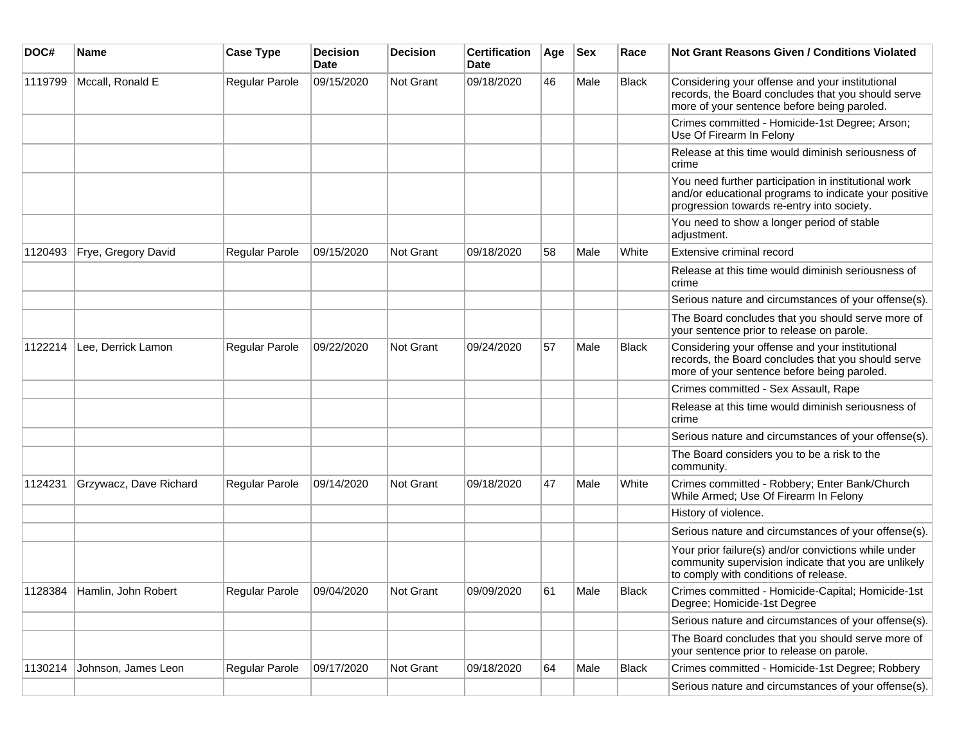| DOC#    | <b>Name</b>                 | <b>Case Type</b>      | <b>Decision</b><br><b>Date</b> | <b>Decision</b>  | <b>Certification</b><br>Date | Age | <b>Sex</b> | Race         | Not Grant Reasons Given / Conditions Violated                                                                                                               |
|---------|-----------------------------|-----------------------|--------------------------------|------------------|------------------------------|-----|------------|--------------|-------------------------------------------------------------------------------------------------------------------------------------------------------------|
| 1119799 | Mccall, Ronald E            | Regular Parole        | 09/15/2020                     | Not Grant        | 09/18/2020                   | 46  | Male       | Black        | Considering your offense and your institutional<br>records, the Board concludes that you should serve<br>more of your sentence before being paroled.        |
|         |                             |                       |                                |                  |                              |     |            |              | Crimes committed - Homicide-1st Degree; Arson;<br>Use Of Firearm In Felony                                                                                  |
|         |                             |                       |                                |                  |                              |     |            |              | Release at this time would diminish seriousness of<br>crime                                                                                                 |
|         |                             |                       |                                |                  |                              |     |            |              | You need further participation in institutional work<br>and/or educational programs to indicate your positive<br>progression towards re-entry into society. |
|         |                             |                       |                                |                  |                              |     |            |              | You need to show a longer period of stable<br>adjustment.                                                                                                   |
| 1120493 | Frye, Gregory David         | Regular Parole        | 09/15/2020                     | <b>Not Grant</b> | 09/18/2020                   | 58  | Male       | White        | Extensive criminal record                                                                                                                                   |
|         |                             |                       |                                |                  |                              |     |            |              | Release at this time would diminish seriousness of<br>crime                                                                                                 |
|         |                             |                       |                                |                  |                              |     |            |              | Serious nature and circumstances of your offense(s).                                                                                                        |
|         |                             |                       |                                |                  |                              |     |            |              | The Board concludes that you should serve more of<br>your sentence prior to release on parole.                                                              |
| 1122214 | Lee, Derrick Lamon          | Regular Parole        | 09/22/2020                     | <b>Not Grant</b> | 09/24/2020                   | 57  | Male       | <b>Black</b> | Considering your offense and your institutional<br>records, the Board concludes that you should serve<br>more of your sentence before being paroled.        |
|         |                             |                       |                                |                  |                              |     |            |              | Crimes committed - Sex Assault, Rape                                                                                                                        |
|         |                             |                       |                                |                  |                              |     |            |              | Release at this time would diminish seriousness of<br>crime                                                                                                 |
|         |                             |                       |                                |                  |                              |     |            |              | Serious nature and circumstances of your offense(s).                                                                                                        |
|         |                             |                       |                                |                  |                              |     |            |              | The Board considers you to be a risk to the<br>community.                                                                                                   |
| 1124231 | Grzywacz, Dave Richard      | <b>Regular Parole</b> | 09/14/2020                     | <b>Not Grant</b> | 09/18/2020                   | 47  | Male       | White        | Crimes committed - Robbery; Enter Bank/Church<br>While Armed; Use Of Firearm In Felony                                                                      |
|         |                             |                       |                                |                  |                              |     |            |              | History of violence.                                                                                                                                        |
|         |                             |                       |                                |                  |                              |     |            |              | Serious nature and circumstances of your offense(s).                                                                                                        |
|         |                             |                       |                                |                  |                              |     |            |              | Your prior failure(s) and/or convictions while under<br>community supervision indicate that you are unlikely<br>to comply with conditions of release.       |
|         | 1128384 Hamlin, John Robert | Regular Parole        | 09/04/2020                     | Not Grant        | 09/09/2020                   | 61  | Male       | Black        | Crimes committed - Homicide-Capital; Homicide-1st<br>Degree; Homicide-1st Degree                                                                            |
|         |                             |                       |                                |                  |                              |     |            |              | Serious nature and circumstances of your offense(s).                                                                                                        |
|         |                             |                       |                                |                  |                              |     |            |              | The Board concludes that you should serve more of<br>your sentence prior to release on parole.                                                              |
| 1130214 | Johnson, James Leon         | Regular Parole        | 09/17/2020                     | Not Grant        | 09/18/2020                   | 64  | Male       | Black        | Crimes committed - Homicide-1st Degree; Robbery                                                                                                             |
|         |                             |                       |                                |                  |                              |     |            |              | Serious nature and circumstances of your offense(s).                                                                                                        |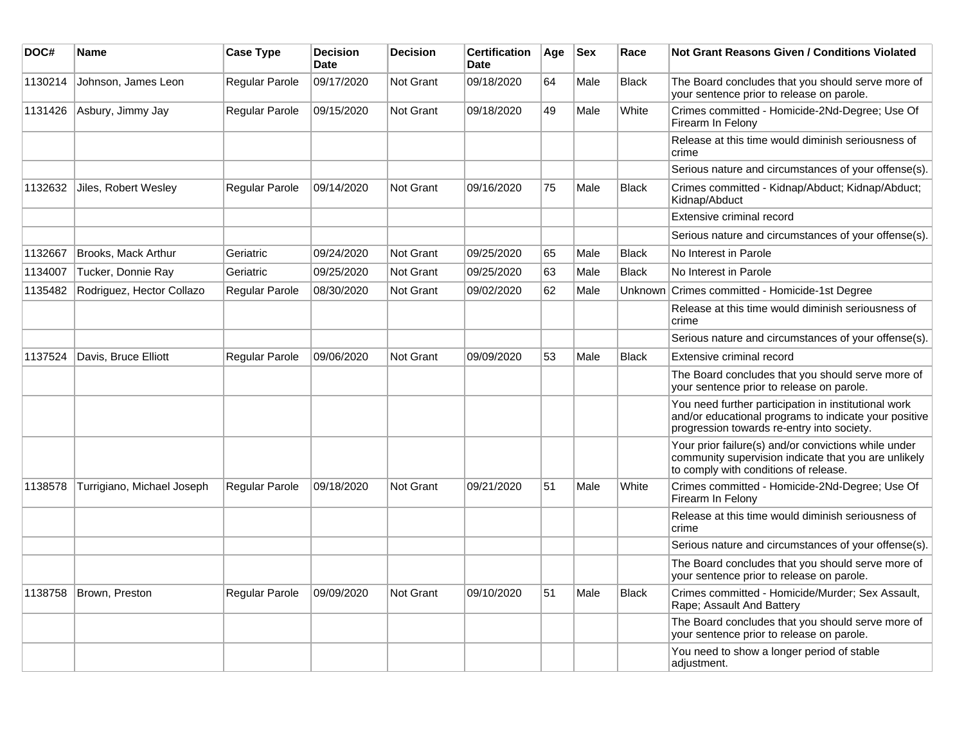| DOC#    | Name                       | <b>Case Type</b>      | <b>Decision</b><br><b>Date</b> | <b>Decision</b>  | <b>Certification</b><br>Date | Age | <b>Sex</b> | Race         | Not Grant Reasons Given / Conditions Violated                                                                                                               |
|---------|----------------------------|-----------------------|--------------------------------|------------------|------------------------------|-----|------------|--------------|-------------------------------------------------------------------------------------------------------------------------------------------------------------|
| 1130214 | Johnson, James Leon        | Regular Parole        | 09/17/2020                     | Not Grant        | 09/18/2020                   | 64  | Male       | <b>Black</b> | The Board concludes that you should serve more of<br>your sentence prior to release on parole.                                                              |
| 1131426 | Asbury, Jimmy Jay          | Regular Parole        | 09/15/2020                     | Not Grant        | 09/18/2020                   | 49  | Male       | White        | Crimes committed - Homicide-2Nd-Degree; Use Of<br>Firearm In Felony                                                                                         |
|         |                            |                       |                                |                  |                              |     |            |              | Release at this time would diminish seriousness of<br>crime                                                                                                 |
|         |                            |                       |                                |                  |                              |     |            |              | Serious nature and circumstances of your offense(s).                                                                                                        |
| 1132632 | Jiles, Robert Wesley       | <b>Regular Parole</b> | 09/14/2020                     | <b>Not Grant</b> | 09/16/2020                   | 75  | Male       | <b>Black</b> | Crimes committed - Kidnap/Abduct; Kidnap/Abduct;<br>Kidnap/Abduct                                                                                           |
|         |                            |                       |                                |                  |                              |     |            |              | Extensive criminal record                                                                                                                                   |
|         |                            |                       |                                |                  |                              |     |            |              | Serious nature and circumstances of your offense(s).                                                                                                        |
| 1132667 | <b>Brooks, Mack Arthur</b> | Geriatric             | 09/24/2020                     | <b>Not Grant</b> | 09/25/2020                   | 65  | Male       | <b>Black</b> | No Interest in Parole                                                                                                                                       |
| 1134007 | Tucker, Donnie Ray         | Geriatric             | 09/25/2020                     | Not Grant        | 09/25/2020                   | 63  | Male       | <b>Black</b> | No Interest in Parole                                                                                                                                       |
| 1135482 | Rodriguez, Hector Collazo  | Regular Parole        | 08/30/2020                     | Not Grant        | 09/02/2020                   | 62  | Male       |              | Unknown Crimes committed - Homicide-1st Degree                                                                                                              |
|         |                            |                       |                                |                  |                              |     |            |              | Release at this time would diminish seriousness of<br>crime                                                                                                 |
|         |                            |                       |                                |                  |                              |     |            |              | Serious nature and circumstances of your offense(s).                                                                                                        |
| 1137524 | Davis, Bruce Elliott       | <b>Regular Parole</b> | 09/06/2020                     | <b>Not Grant</b> | 09/09/2020                   | 53  | Male       | <b>Black</b> | Extensive criminal record                                                                                                                                   |
|         |                            |                       |                                |                  |                              |     |            |              | The Board concludes that you should serve more of<br>your sentence prior to release on parole.                                                              |
|         |                            |                       |                                |                  |                              |     |            |              | You need further participation in institutional work<br>and/or educational programs to indicate your positive<br>progression towards re-entry into society. |
|         |                            |                       |                                |                  |                              |     |            |              | Your prior failure(s) and/or convictions while under<br>community supervision indicate that you are unlikely<br>to comply with conditions of release.       |
| 1138578 | Turrigiano, Michael Joseph | <b>Regular Parole</b> | 09/18/2020                     | Not Grant        | 09/21/2020                   | 51  | Male       | White        | Crimes committed - Homicide-2Nd-Degree; Use Of<br>Firearm In Felonv                                                                                         |
|         |                            |                       |                                |                  |                              |     |            |              | Release at this time would diminish seriousness of<br>crime                                                                                                 |
|         |                            |                       |                                |                  |                              |     |            |              | Serious nature and circumstances of your offense(s).                                                                                                        |
|         |                            |                       |                                |                  |                              |     |            |              | The Board concludes that you should serve more of<br>your sentence prior to release on parole.                                                              |
| 1138758 | Brown, Preston             | <b>Regular Parole</b> | 09/09/2020                     | Not Grant        | 09/10/2020                   | 51  | Male       | <b>Black</b> | Crimes committed - Homicide/Murder; Sex Assault,<br>Rape; Assault And Battery                                                                               |
|         |                            |                       |                                |                  |                              |     |            |              | The Board concludes that you should serve more of<br>your sentence prior to release on parole.                                                              |
|         |                            |                       |                                |                  |                              |     |            |              | You need to show a longer period of stable<br>adjustment.                                                                                                   |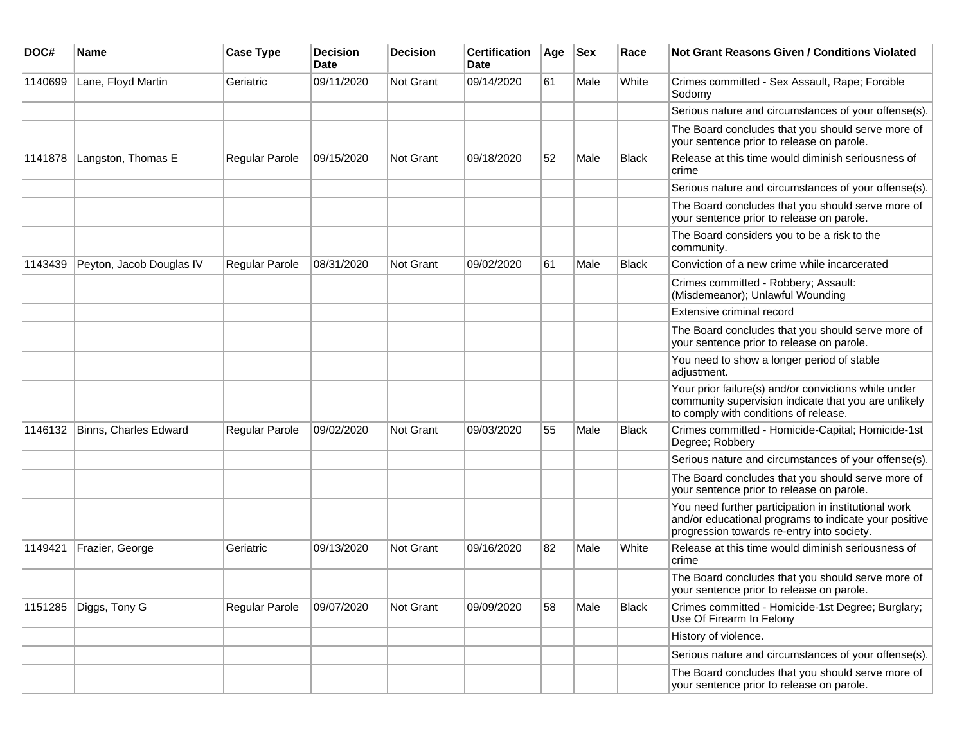| DOC#    | <b>Name</b>              | <b>Case Type</b> | <b>Decision</b><br><b>Date</b> | <b>Decision</b> | <b>Certification</b><br>Date | Age | <b>Sex</b> | Race         | <b>Not Grant Reasons Given / Conditions Violated</b>                                                                                                        |
|---------|--------------------------|------------------|--------------------------------|-----------------|------------------------------|-----|------------|--------------|-------------------------------------------------------------------------------------------------------------------------------------------------------------|
| 1140699 | Lane, Floyd Martin       | Geriatric        | 09/11/2020                     | Not Grant       | 09/14/2020                   | 61  | Male       | White        | Crimes committed - Sex Assault, Rape; Forcible<br>Sodomy                                                                                                    |
|         |                          |                  |                                |                 |                              |     |            |              | Serious nature and circumstances of your offense(s).                                                                                                        |
|         |                          |                  |                                |                 |                              |     |            |              | The Board concludes that you should serve more of<br>your sentence prior to release on parole.                                                              |
| 1141878 | Langston, Thomas E       | Regular Parole   | 09/15/2020                     | Not Grant       | 09/18/2020                   | 52  | Male       | <b>Black</b> | Release at this time would diminish seriousness of<br>crime                                                                                                 |
|         |                          |                  |                                |                 |                              |     |            |              | Serious nature and circumstances of your offense(s).                                                                                                        |
|         |                          |                  |                                |                 |                              |     |            |              | The Board concludes that you should serve more of<br>your sentence prior to release on parole.                                                              |
|         |                          |                  |                                |                 |                              |     |            |              | The Board considers you to be a risk to the<br>community.                                                                                                   |
| 1143439 | Peyton, Jacob Douglas IV | Regular Parole   | 08/31/2020                     | Not Grant       | 09/02/2020                   | 61  | Male       | Black        | Conviction of a new crime while incarcerated                                                                                                                |
|         |                          |                  |                                |                 |                              |     |            |              | Crimes committed - Robbery; Assault:<br>(Misdemeanor); Unlawful Wounding                                                                                    |
|         |                          |                  |                                |                 |                              |     |            |              | Extensive criminal record                                                                                                                                   |
|         |                          |                  |                                |                 |                              |     |            |              | The Board concludes that you should serve more of<br>your sentence prior to release on parole.                                                              |
|         |                          |                  |                                |                 |                              |     |            |              | You need to show a longer period of stable<br>adjustment.                                                                                                   |
|         |                          |                  |                                |                 |                              |     |            |              | Your prior failure(s) and/or convictions while under<br>community supervision indicate that you are unlikely<br>to comply with conditions of release.       |
| 1146132 | Binns, Charles Edward    | Regular Parole   | 09/02/2020                     | Not Grant       | 09/03/2020                   | 55  | Male       | <b>Black</b> | Crimes committed - Homicide-Capital; Homicide-1st<br>Degree; Robbery                                                                                        |
|         |                          |                  |                                |                 |                              |     |            |              | Serious nature and circumstances of your offense(s).                                                                                                        |
|         |                          |                  |                                |                 |                              |     |            |              | The Board concludes that you should serve more of<br>your sentence prior to release on parole.                                                              |
|         |                          |                  |                                |                 |                              |     |            |              | You need further participation in institutional work<br>and/or educational programs to indicate your positive<br>progression towards re-entry into society. |
| 1149421 | Frazier, George          | Geriatric        | 09/13/2020                     | Not Grant       | 09/16/2020                   | 82  | Male       | White        | Release at this time would diminish seriousness of<br>crime                                                                                                 |
|         |                          |                  |                                |                 |                              |     |            |              | The Board concludes that you should serve more of<br>your sentence prior to release on parole.                                                              |
| 1151285 | Diggs, Tony G            | Regular Parole   | 09/07/2020                     | Not Grant       | 09/09/2020                   | 58  | Male       | Black        | Crimes committed - Homicide-1st Degree; Burglary;<br>Use Of Firearm In Felony                                                                               |
|         |                          |                  |                                |                 |                              |     |            |              | History of violence.                                                                                                                                        |
|         |                          |                  |                                |                 |                              |     |            |              | Serious nature and circumstances of your offense(s).                                                                                                        |
|         |                          |                  |                                |                 |                              |     |            |              | The Board concludes that you should serve more of<br>your sentence prior to release on parole.                                                              |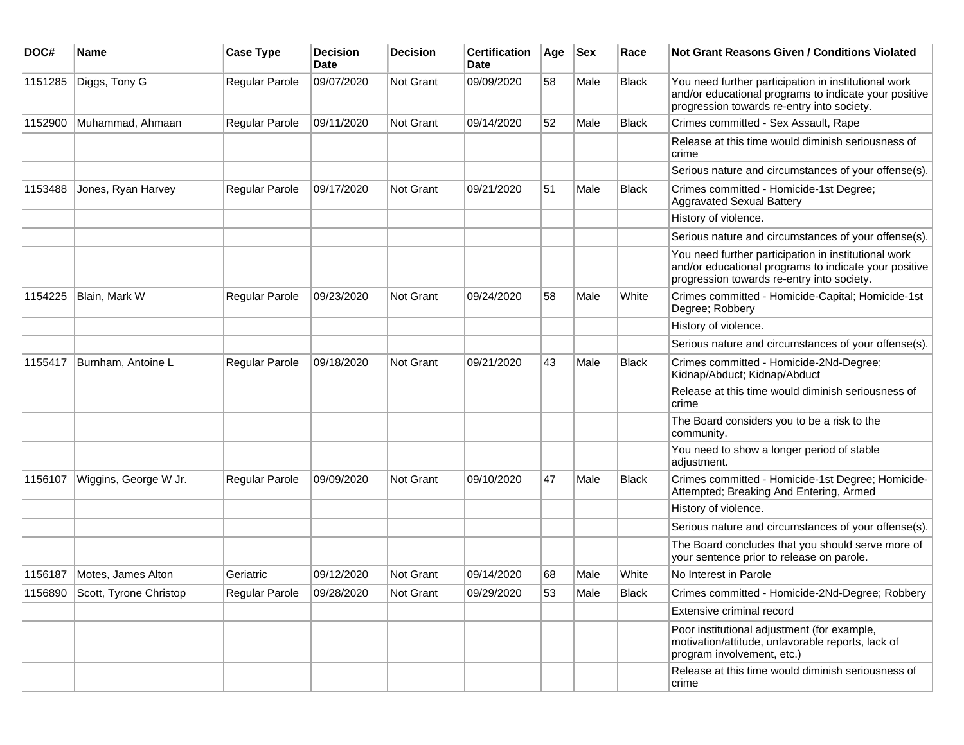| DOC#    | Name                           | <b>Case Type</b> | <b>Decision</b><br><b>Date</b> | <b>Decision</b> | <b>Certification</b><br>Date | Age | <b>Sex</b> | Race         | <b>Not Grant Reasons Given / Conditions Violated</b>                                                                                                        |
|---------|--------------------------------|------------------|--------------------------------|-----------------|------------------------------|-----|------------|--------------|-------------------------------------------------------------------------------------------------------------------------------------------------------------|
| 1151285 | Diggs, Tony G                  | Regular Parole   | 09/07/2020                     | Not Grant       | 09/09/2020                   | 58  | Male       | <b>Black</b> | You need further participation in institutional work<br>and/or educational programs to indicate your positive<br>progression towards re-entry into society. |
| 1152900 | Muhammad, Ahmaan               | Regular Parole   | 09/11/2020                     | Not Grant       | 09/14/2020                   | 52  | Male       | <b>Black</b> | Crimes committed - Sex Assault, Rape                                                                                                                        |
|         |                                |                  |                                |                 |                              |     |            |              | Release at this time would diminish seriousness of<br>crime                                                                                                 |
|         |                                |                  |                                |                 |                              |     |            |              | Serious nature and circumstances of your offense(s).                                                                                                        |
| 1153488 | Jones, Ryan Harvey             | Regular Parole   | 09/17/2020                     | Not Grant       | 09/21/2020                   | 51  | Male       | <b>Black</b> | Crimes committed - Homicide-1st Degree;<br><b>Aggravated Sexual Battery</b>                                                                                 |
|         |                                |                  |                                |                 |                              |     |            |              | History of violence.                                                                                                                                        |
|         |                                |                  |                                |                 |                              |     |            |              | Serious nature and circumstances of your offense(s).                                                                                                        |
|         |                                |                  |                                |                 |                              |     |            |              | You need further participation in institutional work<br>and/or educational programs to indicate your positive<br>progression towards re-entry into society. |
| 1154225 | Blain, Mark W                  | Regular Parole   | 09/23/2020                     | Not Grant       | 09/24/2020                   | 58  | Male       | White        | Crimes committed - Homicide-Capital; Homicide-1st<br>Degree; Robbery                                                                                        |
|         |                                |                  |                                |                 |                              |     |            |              | History of violence.                                                                                                                                        |
|         |                                |                  |                                |                 |                              |     |            |              | Serious nature and circumstances of your offense(s).                                                                                                        |
| 1155417 | Burnham, Antoine L             | Regular Parole   | 09/18/2020                     | Not Grant       | 09/21/2020                   | 43  | Male       | <b>Black</b> | Crimes committed - Homicide-2Nd-Degree;<br>Kidnap/Abduct; Kidnap/Abduct                                                                                     |
|         |                                |                  |                                |                 |                              |     |            |              | Release at this time would diminish seriousness of<br>crime                                                                                                 |
|         |                                |                  |                                |                 |                              |     |            |              | The Board considers you to be a risk to the<br>community.                                                                                                   |
|         |                                |                  |                                |                 |                              |     |            |              | You need to show a longer period of stable<br>adjustment.                                                                                                   |
| 1156107 | Wiggins, George W Jr.          | Regular Parole   | 09/09/2020                     | Not Grant       | 09/10/2020                   | 47  | Male       | Black        | Crimes committed - Homicide-1st Degree; Homicide-<br>Attempted; Breaking And Entering, Armed                                                                |
|         |                                |                  |                                |                 |                              |     |            |              | History of violence.                                                                                                                                        |
|         |                                |                  |                                |                 |                              |     |            |              | Serious nature and circumstances of your offense(s).                                                                                                        |
|         |                                |                  |                                |                 |                              |     |            |              | The Board concludes that you should serve more of<br>your sentence prior to release on parole.                                                              |
| 1156187 | Motes, James Alton             | Geriatric        | 09/12/2020                     | Not Grant       | 09/14/2020                   | 68  | Male       | White        | No Interest in Parole                                                                                                                                       |
|         | 1156890 Scott, Tyrone Christop | Regular Parole   | 09/28/2020                     | Not Grant       | 09/29/2020                   | 53  | Male       | <b>Black</b> | Crimes committed - Homicide-2Nd-Degree; Robbery                                                                                                             |
|         |                                |                  |                                |                 |                              |     |            |              | Extensive criminal record                                                                                                                                   |
|         |                                |                  |                                |                 |                              |     |            |              | Poor institutional adjustment (for example,<br>motivation/attitude, unfavorable reports, lack of<br>program involvement, etc.)                              |
|         |                                |                  |                                |                 |                              |     |            |              | Release at this time would diminish seriousness of<br>crime                                                                                                 |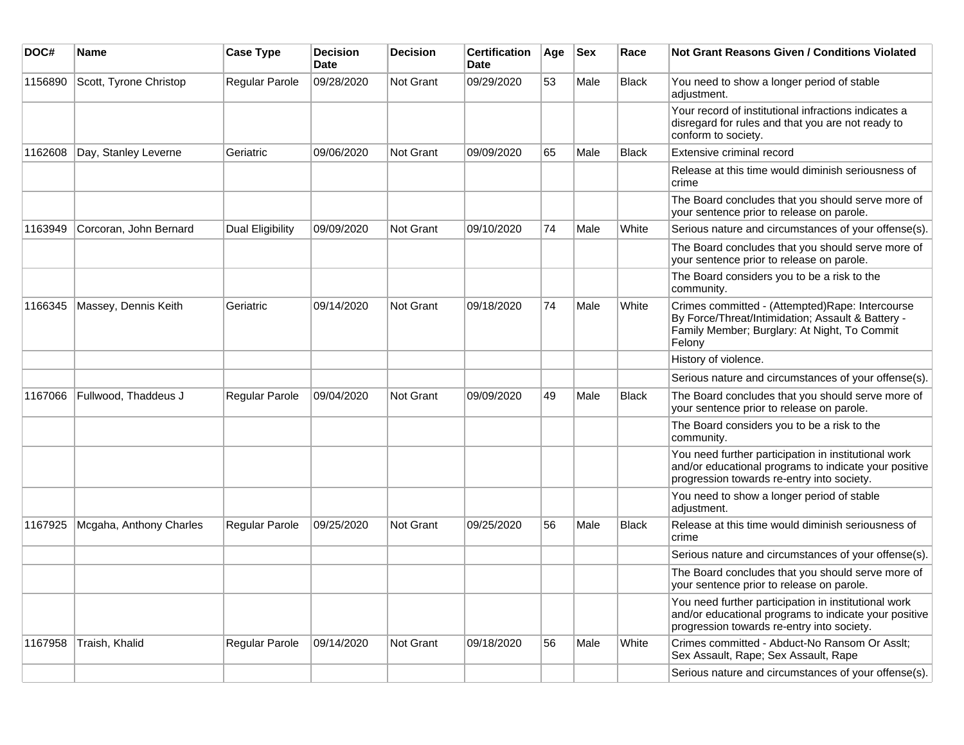| DOC#    | <b>Name</b>             | <b>Case Type</b>      | <b>Decision</b><br><b>Date</b> | <b>Decision</b> | <b>Certification</b><br><b>Date</b> | Age | <b>Sex</b> | Race         | <b>Not Grant Reasons Given / Conditions Violated</b>                                                                                                           |
|---------|-------------------------|-----------------------|--------------------------------|-----------------|-------------------------------------|-----|------------|--------------|----------------------------------------------------------------------------------------------------------------------------------------------------------------|
| 1156890 | Scott, Tyrone Christop  | Regular Parole        | 09/28/2020                     | Not Grant       | 09/29/2020                          | 53  | Male       | Black        | You need to show a longer period of stable<br>adjustment.                                                                                                      |
|         |                         |                       |                                |                 |                                     |     |            |              | Your record of institutional infractions indicates a<br>disregard for rules and that you are not ready to<br>conform to society.                               |
| 1162608 | Day, Stanley Leverne    | Geriatric             | 09/06/2020                     | Not Grant       | 09/09/2020                          | 65  | Male       | <b>Black</b> | Extensive criminal record                                                                                                                                      |
|         |                         |                       |                                |                 |                                     |     |            |              | Release at this time would diminish seriousness of<br>crime                                                                                                    |
|         |                         |                       |                                |                 |                                     |     |            |              | The Board concludes that you should serve more of<br>your sentence prior to release on parole.                                                                 |
| 1163949 | Corcoran, John Bernard  | Dual Eligibility      | 09/09/2020                     | Not Grant       | 09/10/2020                          | 74  | Male       | White        | Serious nature and circumstances of your offense(s).                                                                                                           |
|         |                         |                       |                                |                 |                                     |     |            |              | The Board concludes that you should serve more of<br>your sentence prior to release on parole.                                                                 |
|         |                         |                       |                                |                 |                                     |     |            |              | The Board considers you to be a risk to the<br>community.                                                                                                      |
| 1166345 | Massey, Dennis Keith    | Geriatric             | 09/14/2020                     | Not Grant       | 09/18/2020                          | 74  | Male       | White        | Crimes committed - (Attempted)Rape: Intercourse<br>By Force/Threat/Intimidation; Assault & Battery -<br>Family Member; Burglary: At Night, To Commit<br>Felony |
|         |                         |                       |                                |                 |                                     |     |            |              | History of violence.                                                                                                                                           |
|         |                         |                       |                                |                 |                                     |     |            |              | Serious nature and circumstances of your offense(s).                                                                                                           |
| 1167066 | Fullwood, Thaddeus J    | <b>Regular Parole</b> | 09/04/2020                     | Not Grant       | 09/09/2020                          | 49  | Male       | <b>Black</b> | The Board concludes that you should serve more of<br>your sentence prior to release on parole.                                                                 |
|         |                         |                       |                                |                 |                                     |     |            |              | The Board considers you to be a risk to the<br>community.                                                                                                      |
|         |                         |                       |                                |                 |                                     |     |            |              | You need further participation in institutional work<br>and/or educational programs to indicate your positive<br>progression towards re-entry into society.    |
|         |                         |                       |                                |                 |                                     |     |            |              | You need to show a longer period of stable<br>adjustment.                                                                                                      |
| 1167925 | Mcgaha, Anthony Charles | Regular Parole        | 09/25/2020                     | Not Grant       | 09/25/2020                          | 56  | Male       | <b>Black</b> | Release at this time would diminish seriousness of<br>crime                                                                                                    |
|         |                         |                       |                                |                 |                                     |     |            |              | Serious nature and circumstances of your offense(s).                                                                                                           |
|         |                         |                       |                                |                 |                                     |     |            |              | The Board concludes that you should serve more of<br>your sentence prior to release on parole.                                                                 |
|         |                         |                       |                                |                 |                                     |     |            |              | You need further participation in institutional work<br>and/or educational programs to indicate your positive<br>progression towards re-entry into society.    |
| 1167958 | Traish, Khalid          | Regular Parole        | 09/14/2020                     | Not Grant       | 09/18/2020                          | 56  | Male       | White        | Crimes committed - Abduct-No Ransom Or Asslt;<br>Sex Assault, Rape; Sex Assault, Rape                                                                          |
|         |                         |                       |                                |                 |                                     |     |            |              | Serious nature and circumstances of your offense(s).                                                                                                           |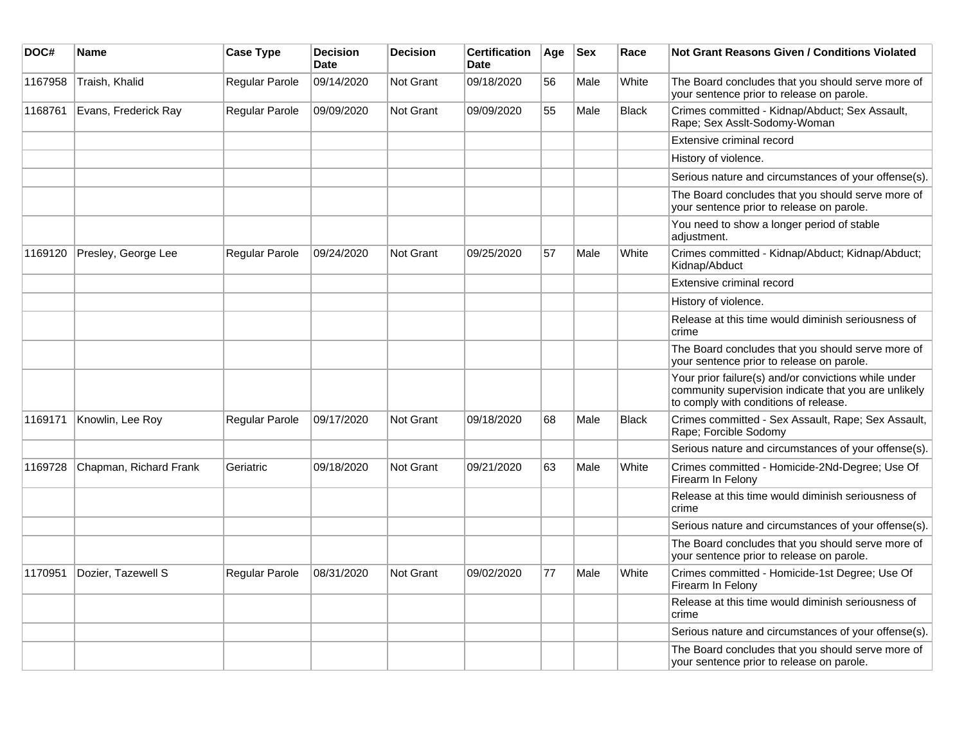| DOC#    | <b>Name</b>            | <b>Case Type</b> | <b>Decision</b><br><b>Date</b> | <b>Decision</b>  | <b>Certification</b><br><b>Date</b> | Age | <b>Sex</b> | Race         | Not Grant Reasons Given / Conditions Violated                                                                                                         |
|---------|------------------------|------------------|--------------------------------|------------------|-------------------------------------|-----|------------|--------------|-------------------------------------------------------------------------------------------------------------------------------------------------------|
| 1167958 | Traish, Khalid         | Regular Parole   | 09/14/2020                     | Not Grant        | 09/18/2020                          | 56  | Male       | White        | The Board concludes that you should serve more of<br>your sentence prior to release on parole.                                                        |
| 1168761 | Evans, Frederick Ray   | Regular Parole   | 09/09/2020                     | <b>Not Grant</b> | 09/09/2020                          | 55  | Male       | <b>Black</b> | Crimes committed - Kidnap/Abduct; Sex Assault,<br>Rape; Sex Asslt-Sodomy-Woman                                                                        |
|         |                        |                  |                                |                  |                                     |     |            |              | Extensive criminal record                                                                                                                             |
|         |                        |                  |                                |                  |                                     |     |            |              | History of violence.                                                                                                                                  |
|         |                        |                  |                                |                  |                                     |     |            |              | Serious nature and circumstances of your offense(s).                                                                                                  |
|         |                        |                  |                                |                  |                                     |     |            |              | The Board concludes that you should serve more of<br>your sentence prior to release on parole.                                                        |
|         |                        |                  |                                |                  |                                     |     |            |              | You need to show a longer period of stable<br>adjustment.                                                                                             |
| 1169120 | Presley, George Lee    | Regular Parole   | 09/24/2020                     | Not Grant        | 09/25/2020                          | 57  | Male       | White        | Crimes committed - Kidnap/Abduct; Kidnap/Abduct;<br>Kidnap/Abduct                                                                                     |
|         |                        |                  |                                |                  |                                     |     |            |              | Extensive criminal record                                                                                                                             |
|         |                        |                  |                                |                  |                                     |     |            |              | History of violence.                                                                                                                                  |
|         |                        |                  |                                |                  |                                     |     |            |              | Release at this time would diminish seriousness of<br>crime                                                                                           |
|         |                        |                  |                                |                  |                                     |     |            |              | The Board concludes that you should serve more of<br>your sentence prior to release on parole.                                                        |
|         |                        |                  |                                |                  |                                     |     |            |              | Your prior failure(s) and/or convictions while under<br>community supervision indicate that you are unlikely<br>to comply with conditions of release. |
| 1169171 | Knowlin, Lee Roy       | Regular Parole   | 09/17/2020                     | <b>Not Grant</b> | 09/18/2020                          | 68  | Male       | <b>Black</b> | Crimes committed - Sex Assault, Rape; Sex Assault,<br>Rape; Forcible Sodomy                                                                           |
|         |                        |                  |                                |                  |                                     |     |            |              | Serious nature and circumstances of your offense(s).                                                                                                  |
| 1169728 | Chapman, Richard Frank | Geriatric        | 09/18/2020                     | <b>Not Grant</b> | 09/21/2020                          | 63  | Male       | White        | Crimes committed - Homicide-2Nd-Degree; Use Of<br>Firearm In Felony                                                                                   |
|         |                        |                  |                                |                  |                                     |     |            |              | Release at this time would diminish seriousness of<br>crime                                                                                           |
|         |                        |                  |                                |                  |                                     |     |            |              | Serious nature and circumstances of your offense(s).                                                                                                  |
|         |                        |                  |                                |                  |                                     |     |            |              | The Board concludes that you should serve more of<br>your sentence prior to release on parole.                                                        |
| 1170951 | Dozier, Tazewell S     | Regular Parole   | 08/31/2020                     | <b>Not Grant</b> | 09/02/2020                          | 77  | Male       | White        | Crimes committed - Homicide-1st Degree; Use Of<br>Firearm In Felony                                                                                   |
|         |                        |                  |                                |                  |                                     |     |            |              | Release at this time would diminish seriousness of<br>crime                                                                                           |
|         |                        |                  |                                |                  |                                     |     |            |              | Serious nature and circumstances of your offense(s).                                                                                                  |
|         |                        |                  |                                |                  |                                     |     |            |              | The Board concludes that you should serve more of<br>your sentence prior to release on parole.                                                        |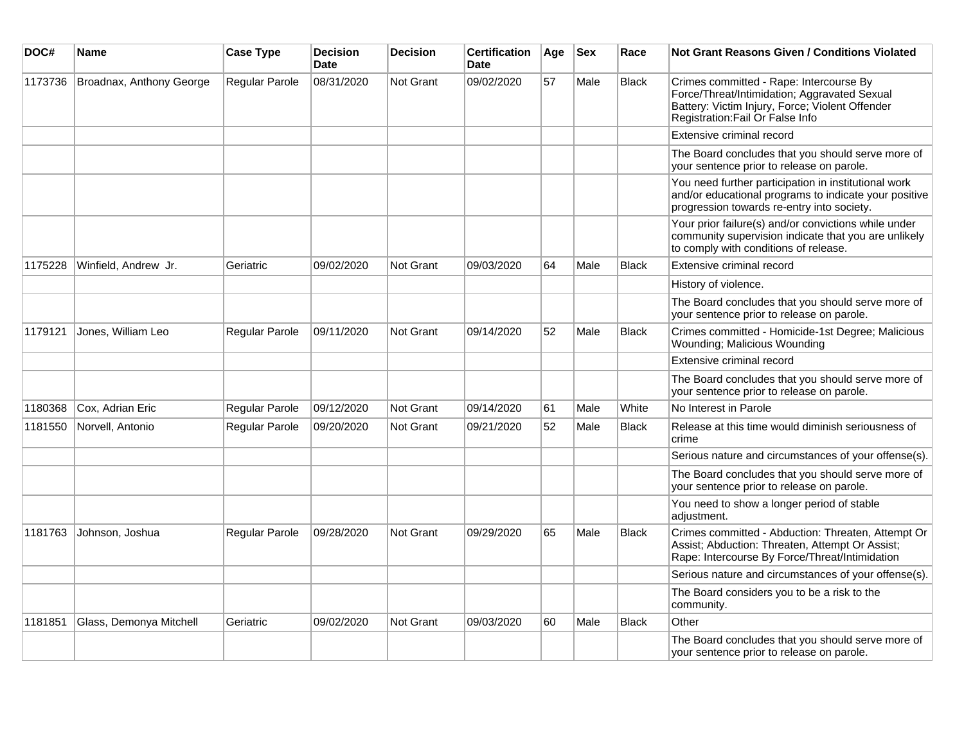| DOC#    | <b>Name</b>              | <b>Case Type</b> | <b>Decision</b><br><b>Date</b> | <b>Decision</b>  | <b>Certification</b><br>Date | Age | <b>Sex</b> | Race         | Not Grant Reasons Given / Conditions Violated                                                                                                                                  |
|---------|--------------------------|------------------|--------------------------------|------------------|------------------------------|-----|------------|--------------|--------------------------------------------------------------------------------------------------------------------------------------------------------------------------------|
| 1173736 | Broadnax, Anthony George | Regular Parole   | 08/31/2020                     | Not Grant        | 09/02/2020                   | 57  | Male       | <b>Black</b> | Crimes committed - Rape: Intercourse By<br>Force/Threat/Intimidation; Aggravated Sexual<br>Battery: Victim Injury, Force; Violent Offender<br>Registration: Fail Or False Info |
|         |                          |                  |                                |                  |                              |     |            |              | Extensive criminal record                                                                                                                                                      |
|         |                          |                  |                                |                  |                              |     |            |              | The Board concludes that you should serve more of<br>your sentence prior to release on parole.                                                                                 |
|         |                          |                  |                                |                  |                              |     |            |              | You need further participation in institutional work<br>and/or educational programs to indicate your positive<br>progression towards re-entry into society.                    |
|         |                          |                  |                                |                  |                              |     |            |              | Your prior failure(s) and/or convictions while under<br>community supervision indicate that you are unlikely<br>to comply with conditions of release.                          |
| 1175228 | Winfield, Andrew Jr.     | Geriatric        | 09/02/2020                     | Not Grant        | 09/03/2020                   | 64  | Male       | <b>Black</b> | Extensive criminal record                                                                                                                                                      |
|         |                          |                  |                                |                  |                              |     |            |              | History of violence.                                                                                                                                                           |
|         |                          |                  |                                |                  |                              |     |            |              | The Board concludes that you should serve more of<br>your sentence prior to release on parole.                                                                                 |
| 1179121 | Jones, William Leo       | Regular Parole   | 09/11/2020                     | Not Grant        | 09/14/2020                   | 52  | Male       | Black        | Crimes committed - Homicide-1st Degree; Malicious<br>Wounding; Malicious Wounding                                                                                              |
|         |                          |                  |                                |                  |                              |     |            |              | Extensive criminal record                                                                                                                                                      |
|         |                          |                  |                                |                  |                              |     |            |              | The Board concludes that you should serve more of<br>your sentence prior to release on parole.                                                                                 |
| 1180368 | Cox, Adrian Eric         | Regular Parole   | 09/12/2020                     | Not Grant        | 09/14/2020                   | 61  | Male       | White        | No Interest in Parole                                                                                                                                                          |
| 1181550 | Norvell, Antonio         | Regular Parole   | 09/20/2020                     | Not Grant        | 09/21/2020                   | 52  | Male       | <b>Black</b> | Release at this time would diminish seriousness of<br>crime                                                                                                                    |
|         |                          |                  |                                |                  |                              |     |            |              | Serious nature and circumstances of your offense(s).                                                                                                                           |
|         |                          |                  |                                |                  |                              |     |            |              | The Board concludes that you should serve more of<br>your sentence prior to release on parole.                                                                                 |
|         |                          |                  |                                |                  |                              |     |            |              | You need to show a longer period of stable<br>adjustment.                                                                                                                      |
| 1181763 | Johnson, Joshua          | Regular Parole   | 09/28/2020                     | <b>Not Grant</b> | 09/29/2020                   | 65  | Male       | Black        | Crimes committed - Abduction: Threaten, Attempt Or<br>Assist; Abduction: Threaten, Attempt Or Assist;<br>Rape: Intercourse By Force/Threat/Intimidation                        |
|         |                          |                  |                                |                  |                              |     |            |              | Serious nature and circumstances of your offense(s).                                                                                                                           |
|         |                          |                  |                                |                  |                              |     |            |              | The Board considers you to be a risk to the<br>community.                                                                                                                      |
| 1181851 | Glass, Demonya Mitchell  | Geriatric        | 09/02/2020                     | <b>Not Grant</b> | 09/03/2020                   | 60  | Male       | Black        | Other                                                                                                                                                                          |
|         |                          |                  |                                |                  |                              |     |            |              | The Board concludes that you should serve more of<br>your sentence prior to release on parole.                                                                                 |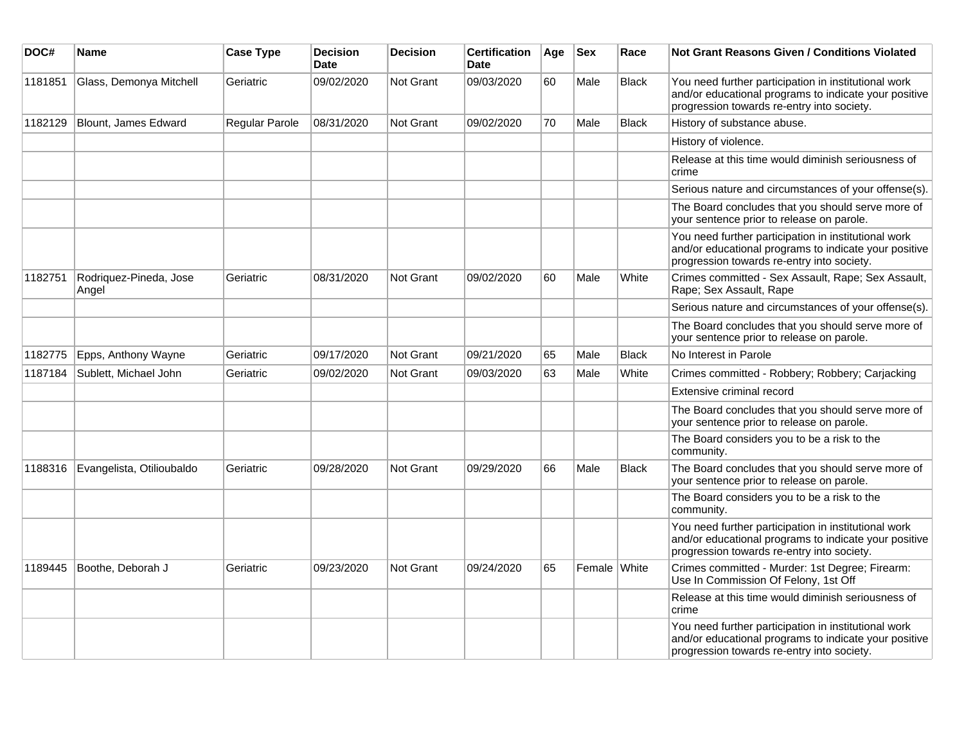| DOC#    | Name                            | <b>Case Type</b> | <b>Decision</b><br><b>Date</b> | <b>Decision</b>  | <b>Certification</b><br>Date | Age | <b>Sex</b>   | Race         | <b>Not Grant Reasons Given / Conditions Violated</b>                                                                                                        |
|---------|---------------------------------|------------------|--------------------------------|------------------|------------------------------|-----|--------------|--------------|-------------------------------------------------------------------------------------------------------------------------------------------------------------|
| 1181851 | Glass, Demonya Mitchell         | Geriatric        | 09/02/2020                     | Not Grant        | 09/03/2020                   | 60  | Male         | <b>Black</b> | You need further participation in institutional work<br>and/or educational programs to indicate your positive<br>progression towards re-entry into society. |
| 1182129 | Blount, James Edward            | Regular Parole   | 08/31/2020                     | Not Grant        | 09/02/2020                   | 70  | Male         | Black        | History of substance abuse.                                                                                                                                 |
|         |                                 |                  |                                |                  |                              |     |              |              | History of violence.                                                                                                                                        |
|         |                                 |                  |                                |                  |                              |     |              |              | Release at this time would diminish seriousness of<br>crime                                                                                                 |
|         |                                 |                  |                                |                  |                              |     |              |              | Serious nature and circumstances of your offense(s).                                                                                                        |
|         |                                 |                  |                                |                  |                              |     |              |              | The Board concludes that you should serve more of<br>your sentence prior to release on parole.                                                              |
|         |                                 |                  |                                |                  |                              |     |              |              | You need further participation in institutional work<br>and/or educational programs to indicate your positive<br>progression towards re-entry into society. |
| 1182751 | Rodriquez-Pineda, Jose<br>Angel | Geriatric        | 08/31/2020                     | Not Grant        | 09/02/2020                   | 60  | Male         | White        | Crimes committed - Sex Assault, Rape; Sex Assault,<br>Rape; Sex Assault, Rape                                                                               |
|         |                                 |                  |                                |                  |                              |     |              |              | Serious nature and circumstances of your offense(s).                                                                                                        |
|         |                                 |                  |                                |                  |                              |     |              |              | The Board concludes that you should serve more of<br>your sentence prior to release on parole.                                                              |
| 1182775 | Epps, Anthony Wayne             | Geriatric        | 09/17/2020                     | Not Grant        | 09/21/2020                   | 65  | Male         | <b>Black</b> | No Interest in Parole                                                                                                                                       |
| 1187184 | Sublett, Michael John           | Geriatric        | 09/02/2020                     | <b>Not Grant</b> | 09/03/2020                   | 63  | Male         | White        | Crimes committed - Robbery; Robbery; Carjacking                                                                                                             |
|         |                                 |                  |                                |                  |                              |     |              |              | Extensive criminal record                                                                                                                                   |
|         |                                 |                  |                                |                  |                              |     |              |              | The Board concludes that you should serve more of<br>your sentence prior to release on parole.                                                              |
|         |                                 |                  |                                |                  |                              |     |              |              | The Board considers you to be a risk to the<br>community.                                                                                                   |
| 1188316 | Evangelista, Otilioubaldo       | Geriatric        | 09/28/2020                     | <b>Not Grant</b> | 09/29/2020                   | 66  | Male         | <b>Black</b> | The Board concludes that you should serve more of<br>your sentence prior to release on parole.                                                              |
|         |                                 |                  |                                |                  |                              |     |              |              | The Board considers you to be a risk to the<br>community.                                                                                                   |
|         |                                 |                  |                                |                  |                              |     |              |              | You need further participation in institutional work<br>and/or educational programs to indicate your positive<br>progression towards re-entry into society. |
| 1189445 | Boothe, Deborah J               | Geriatric        | 09/23/2020                     | Not Grant        | 09/24/2020                   | 65  | Female White |              | Crimes committed - Murder: 1st Degree; Firearm:<br>Use In Commission Of Felony, 1st Off                                                                     |
|         |                                 |                  |                                |                  |                              |     |              |              | Release at this time would diminish seriousness of<br>crime                                                                                                 |
|         |                                 |                  |                                |                  |                              |     |              |              | You need further participation in institutional work<br>and/or educational programs to indicate your positive<br>progression towards re-entry into society. |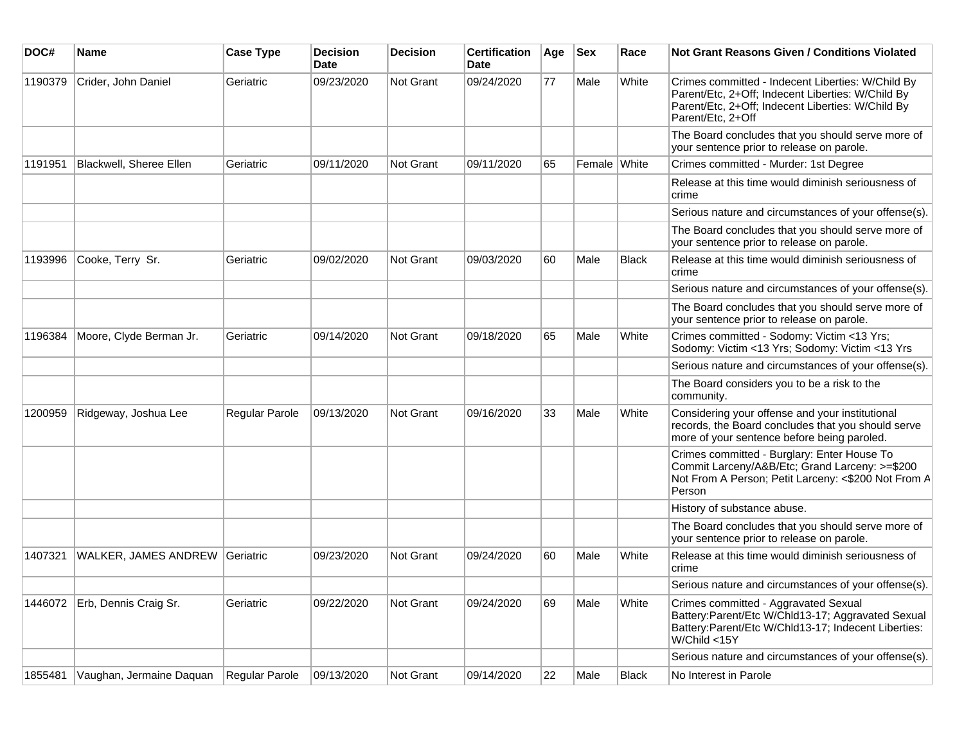| DOC#    | <b>Name</b>                   | <b>Case Type</b> | <b>Decision</b><br><b>Date</b> | <b>Decision</b> | <b>Certification</b><br>Date | Age | <b>Sex</b>   | Race         | Not Grant Reasons Given / Conditions Violated                                                                                                                                    |
|---------|-------------------------------|------------------|--------------------------------|-----------------|------------------------------|-----|--------------|--------------|----------------------------------------------------------------------------------------------------------------------------------------------------------------------------------|
| 1190379 | Crider, John Daniel           | Geriatric        | 09/23/2020                     | Not Grant       | 09/24/2020                   | 77  | Male         | White        | Crimes committed - Indecent Liberties: W/Child By<br>Parent/Etc, 2+Off; Indecent Liberties: W/Child By<br>Parent/Etc, 2+Off; Indecent Liberties: W/Child By<br>Parent/Etc, 2+Off |
|         |                               |                  |                                |                 |                              |     |              |              | The Board concludes that you should serve more of<br>your sentence prior to release on parole.                                                                                   |
| 1191951 | Blackwell, Sheree Ellen       | Geriatric        | 09/11/2020                     | Not Grant       | 09/11/2020                   | 65  | Female White |              | Crimes committed - Murder: 1st Degree                                                                                                                                            |
|         |                               |                  |                                |                 |                              |     |              |              | Release at this time would diminish seriousness of<br>crime                                                                                                                      |
|         |                               |                  |                                |                 |                              |     |              |              | Serious nature and circumstances of your offense(s).                                                                                                                             |
|         |                               |                  |                                |                 |                              |     |              |              | The Board concludes that you should serve more of<br>your sentence prior to release on parole.                                                                                   |
| 1193996 | Cooke, Terry Sr.              | Geriatric        | 09/02/2020                     | Not Grant       | 09/03/2020                   | 60  | Male         | <b>Black</b> | Release at this time would diminish seriousness of<br>crime                                                                                                                      |
|         |                               |                  |                                |                 |                              |     |              |              | Serious nature and circumstances of your offense(s).                                                                                                                             |
|         |                               |                  |                                |                 |                              |     |              |              | The Board concludes that you should serve more of<br>your sentence prior to release on parole.                                                                                   |
| 1196384 | Moore, Clyde Berman Jr.       | Geriatric        | 09/14/2020                     | Not Grant       | 09/18/2020                   | 65  | Male         | White        | Crimes committed - Sodomy: Victim <13 Yrs;<br>Sodomy: Victim <13 Yrs; Sodomy: Victim <13 Yrs                                                                                     |
|         |                               |                  |                                |                 |                              |     |              |              | Serious nature and circumstances of your offense(s).                                                                                                                             |
|         |                               |                  |                                |                 |                              |     |              |              | The Board considers you to be a risk to the<br>community.                                                                                                                        |
| 1200959 | Ridgeway, Joshua Lee          | Regular Parole   | 09/13/2020                     | Not Grant       | 09/16/2020                   | 33  | Male         | White        | Considering your offense and your institutional<br>records, the Board concludes that you should serve<br>more of your sentence before being paroled.                             |
|         |                               |                  |                                |                 |                              |     |              |              | Crimes committed - Burglary: Enter House To<br>Commit Larceny/A&B/Etc; Grand Larceny: >=\$200<br>Not From A Person; Petit Larceny: <\$200 Not From A<br>Person                   |
|         |                               |                  |                                |                 |                              |     |              |              | History of substance abuse.                                                                                                                                                      |
|         |                               |                  |                                |                 |                              |     |              |              | The Board concludes that you should serve more of<br>your sentence prior to release on parole.                                                                                   |
| 1407321 | WALKER, JAMES ANDREW          | Geriatric        | 09/23/2020                     | Not Grant       | 09/24/2020                   | 60  | Male         | White        | Release at this time would diminish seriousness of<br>crime                                                                                                                      |
|         |                               |                  |                                |                 |                              |     |              |              | Serious nature and circumstances of your offense(s).                                                                                                                             |
|         | 1446072 Erb, Dennis Craig Sr. | Geriatric        | 09/22/2020                     | Not Grant       | 09/24/2020                   | 69  | Male         | White        | Crimes committed - Aggravated Sexual<br>Battery:Parent/Etc W/Chld13-17; Aggravated Sexual<br>Battery:Parent/Etc W/Chld13-17; Indecent Liberties:<br>W/Child <15Y                 |
|         |                               |                  |                                |                 |                              |     |              |              | Serious nature and circumstances of your offense(s).                                                                                                                             |
| 1855481 | Vaughan, Jermaine Daquan      | Regular Parole   | 09/13/2020                     | Not Grant       | 09/14/2020                   | 22  | Male         | <b>Black</b> | No Interest in Parole                                                                                                                                                            |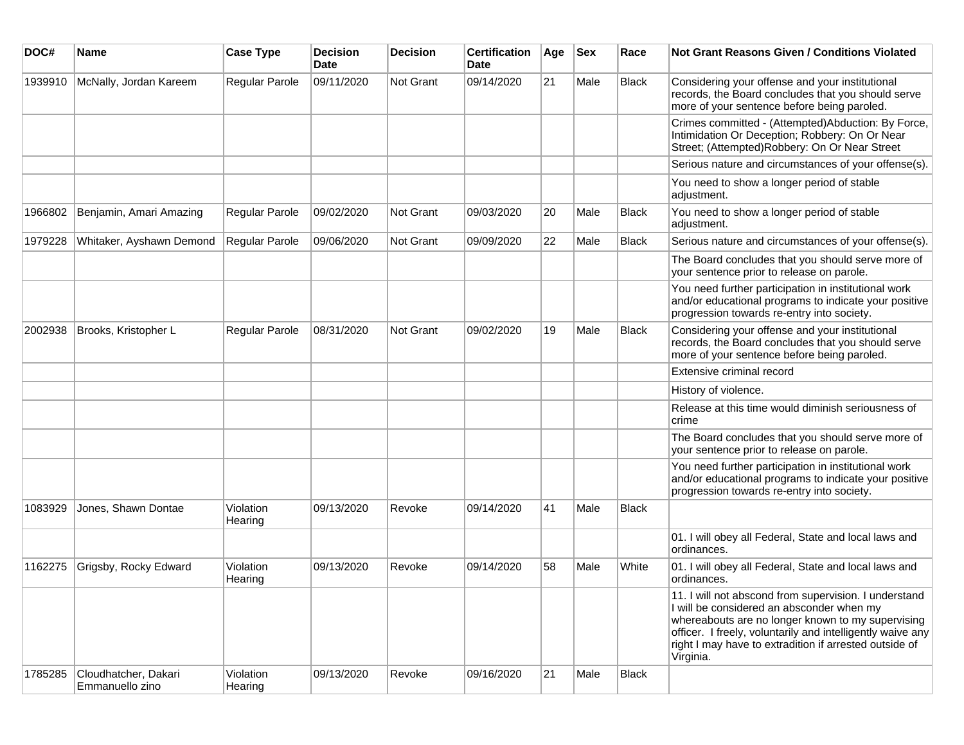| DOC#    | Name                                    | <b>Case Type</b>     | Decision<br><b>Date</b> | <b>Decision</b> | <b>Certification</b><br>Date | Age | <b>Sex</b> | Race         | Not Grant Reasons Given / Conditions Violated                                                                                                                                                                                                                                                |
|---------|-----------------------------------------|----------------------|-------------------------|-----------------|------------------------------|-----|------------|--------------|----------------------------------------------------------------------------------------------------------------------------------------------------------------------------------------------------------------------------------------------------------------------------------------------|
| 1939910 | McNally, Jordan Kareem                  | Regular Parole       | 09/11/2020              | Not Grant       | 09/14/2020                   | 21  | Male       | <b>Black</b> | Considering your offense and your institutional<br>records, the Board concludes that you should serve<br>more of your sentence before being paroled.                                                                                                                                         |
|         |                                         |                      |                         |                 |                              |     |            |              | Crimes committed - (Attempted)Abduction: By Force,<br>Intimidation Or Deception; Robbery: On Or Near<br>Street; (Attempted)Robbery: On Or Near Street                                                                                                                                        |
|         |                                         |                      |                         |                 |                              |     |            |              | Serious nature and circumstances of your offense(s).                                                                                                                                                                                                                                         |
|         |                                         |                      |                         |                 |                              |     |            |              | You need to show a longer period of stable<br>adjustment.                                                                                                                                                                                                                                    |
| 1966802 | Benjamin, Amari Amazing                 | Regular Parole       | 09/02/2020              | Not Grant       | 09/03/2020                   | 20  | Male       | <b>Black</b> | You need to show a longer period of stable<br>adjustment.                                                                                                                                                                                                                                    |
| 1979228 | Whitaker, Ayshawn Demond                | Regular Parole       | 09/06/2020              | Not Grant       | 09/09/2020                   | 22  | Male       | <b>Black</b> | Serious nature and circumstances of your offense(s).                                                                                                                                                                                                                                         |
|         |                                         |                      |                         |                 |                              |     |            |              | The Board concludes that you should serve more of<br>your sentence prior to release on parole.                                                                                                                                                                                               |
|         |                                         |                      |                         |                 |                              |     |            |              | You need further participation in institutional work<br>and/or educational programs to indicate your positive<br>progression towards re-entry into society.                                                                                                                                  |
| 2002938 | Brooks, Kristopher L                    | Regular Parole       | 08/31/2020              | Not Grant       | 09/02/2020                   | 19  | Male       | <b>Black</b> | Considering your offense and your institutional<br>records, the Board concludes that you should serve<br>more of your sentence before being paroled.                                                                                                                                         |
|         |                                         |                      |                         |                 |                              |     |            |              | Extensive criminal record                                                                                                                                                                                                                                                                    |
|         |                                         |                      |                         |                 |                              |     |            |              | History of violence.                                                                                                                                                                                                                                                                         |
|         |                                         |                      |                         |                 |                              |     |            |              | Release at this time would diminish seriousness of<br>crime                                                                                                                                                                                                                                  |
|         |                                         |                      |                         |                 |                              |     |            |              | The Board concludes that you should serve more of<br>your sentence prior to release on parole.                                                                                                                                                                                               |
|         |                                         |                      |                         |                 |                              |     |            |              | You need further participation in institutional work<br>and/or educational programs to indicate your positive<br>progression towards re-entry into society.                                                                                                                                  |
| 1083929 | Jones, Shawn Dontae                     | Violation<br>Hearing | 09/13/2020              | Revoke          | 09/14/2020                   | 41  | Male       | <b>Black</b> |                                                                                                                                                                                                                                                                                              |
|         |                                         |                      |                         |                 |                              |     |            |              | 01. I will obey all Federal, State and local laws and<br>ordinances.                                                                                                                                                                                                                         |
| 1162275 | Grigsby, Rocky Edward                   | Violation<br>Hearing | 09/13/2020              | Revoke          | 09/14/2020                   | 58  | Male       | White        | 01. I will obey all Federal, State and local laws and<br>ordinances.                                                                                                                                                                                                                         |
|         |                                         |                      |                         |                 |                              |     |            |              | 11. I will not abscond from supervision. I understand<br>I will be considered an absconder when my<br>whereabouts are no longer known to my supervising<br>officer. I freely, voluntarily and intelligently waive any<br>right I may have to extradition if arrested outside of<br>Virginia. |
| 1785285 | Cloudhatcher, Dakari<br>Emmanuello zino | Violation<br>Hearing | 09/13/2020              | Revoke          | 09/16/2020                   | 21  | Male       | <b>Black</b> |                                                                                                                                                                                                                                                                                              |